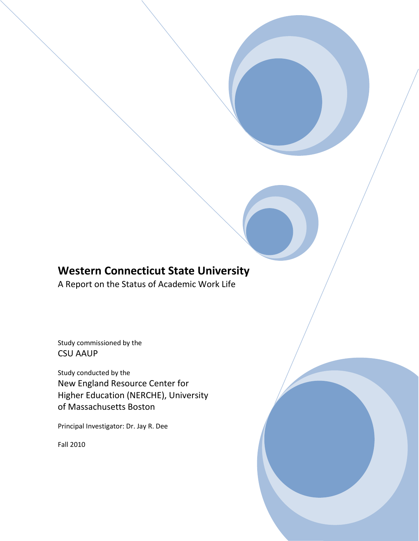# **Western Connecticut State University**

A Report on the Status of Academic Work Life

Study commissioned by the CSU AAUP

Study conducted by the New England Resource Center for Higher Education (NERCHE), University of Massachusetts Boston

Principal Investigator: Dr. Jay R. Dee

Fall 2010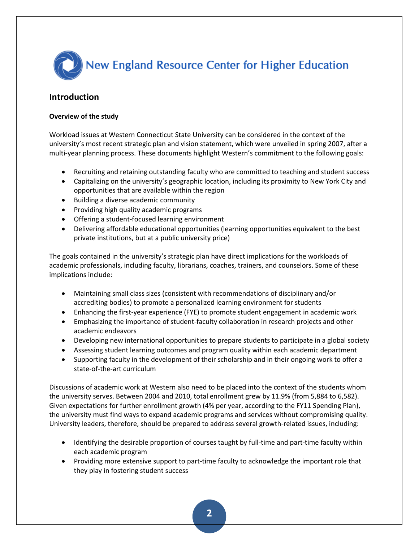

## **Introduction**

## **Overview of the study**

Workload issues at Western Connecticut State University can be considered in the context of the university's most recent strategic plan and vision statement, which were unveiled in spring 2007, after a multi-year planning process. These documents highlight Western's commitment to the following goals:

- Recruiting and retaining outstanding faculty who are committed to teaching and student success
- Capitalizing on the university's geographic location, including its proximity to New York City and opportunities that are available within the region
- Building a diverse academic community
- Providing high quality academic programs
- Offering a student-focused learning environment
- Delivering affordable educational opportunities (learning opportunities equivalent to the best private institutions, but at a public university price)

The goals contained in the university's strategic plan have direct implications for the workloads of academic professionals, including faculty, librarians, coaches, trainers, and counselors. Some of these implications include:

- Maintaining small class sizes (consistent with recommendations of disciplinary and/or accrediting bodies) to promote a personalized learning environment for students
- Enhancing the first-year experience (FYE) to promote student engagement in academic work
- Emphasizing the importance of student-faculty collaboration in research projects and other academic endeavors
- Developing new international opportunities to prepare students to participate in a global society
- Assessing student learning outcomes and program quality within each academic department
- Supporting faculty in the development of their scholarship and in their ongoing work to offer a state-of-the-art curriculum

Discussions of academic work at Western also need to be placed into the context of the students whom the university serves. Between 2004 and 2010, total enrollment grew by 11.9% (from 5,884 to 6,582). Given expectations for further enrollment growth (4% per year, according to the FY11 Spending Plan), the university must find ways to expand academic programs and services without compromising quality. University leaders, therefore, should be prepared to address several growth-related issues, including:

- Identifying the desirable proportion of courses taught by full-time and part-time faculty within each academic program
- Providing more extensive support to part-time faculty to acknowledge the important role that they play in fostering student success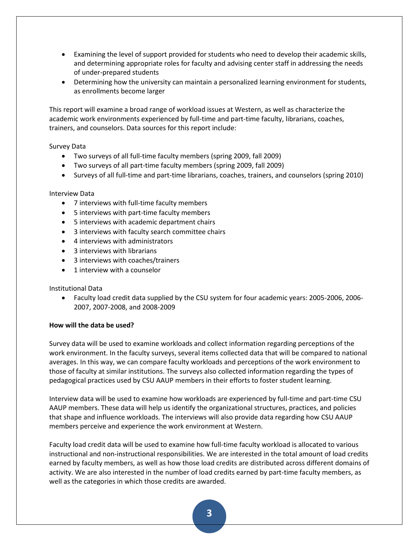- Examining the level of support provided for students who need to develop their academic skills, and determining appropriate roles for faculty and advising center staff in addressing the needs of under-prepared students
- Determining how the university can maintain a personalized learning environment for students, as enrollments become larger

This report will examine a broad range of workload issues at Western, as well as characterize the academic work environments experienced by full-time and part-time faculty, librarians, coaches, trainers, and counselors. Data sources for this report include:

## Survey Data

- Two surveys of all full-time faculty members (spring 2009, fall 2009)
- Two surveys of all part-time faculty members (spring 2009, fall 2009)
- Surveys of all full-time and part-time librarians, coaches, trainers, and counselors (spring 2010)

## Interview Data

- 7 interviews with full-time faculty members
- 5 interviews with part-time faculty members
- 5 interviews with academic department chairs
- 3 interviews with faculty search committee chairs
- 4 interviews with administrators
- 3 interviews with librarians
- 3 interviews with coaches/trainers
- 1 interview with a counselor

## Institutional Data

 Faculty load credit data supplied by the CSU system for four academic years: 2005-2006, 2006- 2007, 2007-2008, and 2008-2009

## **How will the data be used?**

Survey data will be used to examine workloads and collect information regarding perceptions of the work environment. In the faculty surveys, several items collected data that will be compared to national averages. In this way, we can compare faculty workloads and perceptions of the work environment to those of faculty at similar institutions. The surveys also collected information regarding the types of pedagogical practices used by CSU AAUP members in their efforts to foster student learning.

Interview data will be used to examine how workloads are experienced by full-time and part-time CSU AAUP members. These data will help us identify the organizational structures, practices, and policies that shape and influence workloads. The interviews will also provide data regarding how CSU AAUP members perceive and experience the work environment at Western.

Faculty load credit data will be used to examine how full-time faculty workload is allocated to various instructional and non-instructional responsibilities. We are interested in the total amount of load credits earned by faculty members, as well as how those load credits are distributed across different domains of activity. We are also interested in the number of load credits earned by part-time faculty members, as well as the categories in which those credits are awarded.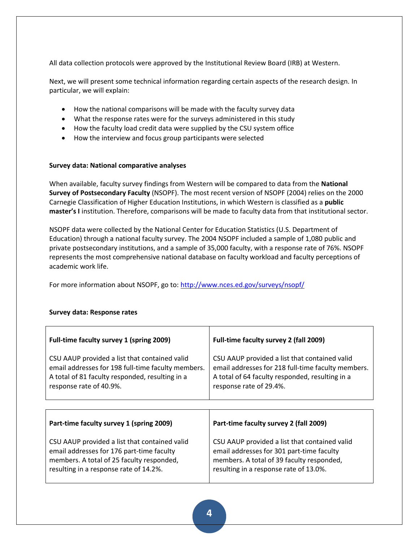All data collection protocols were approved by the Institutional Review Board (IRB) at Western.

Next, we will present some technical information regarding certain aspects of the research design. In particular, we will explain:

- How the national comparisons will be made with the faculty survey data
- What the response rates were for the surveys administered in this study
- How the faculty load credit data were supplied by the CSU system office
- How the interview and focus group participants were selected

## **Survey data: National comparative analyses**

When available, faculty survey findings from Western will be compared to data from the **National Survey of Postsecondary Faculty** (NSOPF). The most recent version of NSOPF (2004) relies on the 2000 Carnegie Classification of Higher Education Institutions, in which Western is classified as a **public master's I** institution. Therefore, comparisons will be made to faculty data from that institutional sector.

NSOPF data were collected by the National Center for Education Statistics (U.S. Department of Education) through a national faculty survey. The 2004 NSOPF included a sample of 1,080 public and private postsecondary institutions, and a sample of 35,000 faculty, with a response rate of 76%. NSOPF represents the most comprehensive national database on faculty workload and faculty perceptions of academic work life.

For more information about NSOPF, go to:<http://www.nces.ed.gov/surveys/nsopf/>

| Full-time faculty survey 1 (spring 2009)                                                                                                                                          | Full-time faculty survey 2 (fall 2009)                                                                                                                                            |  |  |  |
|-----------------------------------------------------------------------------------------------------------------------------------------------------------------------------------|-----------------------------------------------------------------------------------------------------------------------------------------------------------------------------------|--|--|--|
| CSU AAUP provided a list that contained valid<br>email addresses for 198 full-time faculty members.<br>A total of 81 faculty responded, resulting in a<br>response rate of 40.9%. | CSU AAUP provided a list that contained valid<br>email addresses for 218 full-time faculty members.<br>A total of 64 faculty responded, resulting in a<br>response rate of 29.4%. |  |  |  |
|                                                                                                                                                                                   |                                                                                                                                                                                   |  |  |  |
| Part-time faculty survey 1 (spring 2009)                                                                                                                                          | Part-time faculty survey 2 (fall 2009)                                                                                                                                            |  |  |  |
| CSU AAUP provided a list that contained valid<br>email addresses for 176 part-time faculty<br>members. A total of 25 faculty responded,<br>resulting in a response rate of 14.2%. | CSU AAUP provided a list that contained valid<br>email addresses for 301 part-time faculty<br>members. A total of 39 faculty responded,<br>resulting in a response rate of 13.0%. |  |  |  |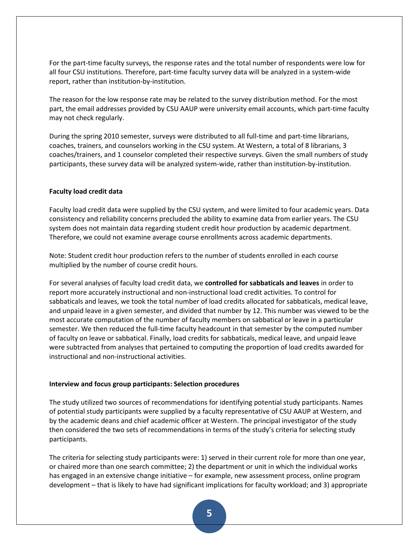For the part-time faculty surveys, the response rates and the total number of respondents were low for all four CSU institutions. Therefore, part-time faculty survey data will be analyzed in a system-wide report, rather than institution-by-institution.

The reason for the low response rate may be related to the survey distribution method. For the most part, the email addresses provided by CSU AAUP were university email accounts, which part-time faculty may not check regularly.

During the spring 2010 semester, surveys were distributed to all full-time and part-time librarians, coaches, trainers, and counselors working in the CSU system. At Western, a total of 8 librarians, 3 coaches/trainers, and 1 counselor completed their respective surveys. Given the small numbers of study participants, these survey data will be analyzed system-wide, rather than institution-by-institution.

### **Faculty load credit data**

Faculty load credit data were supplied by the CSU system, and were limited to four academic years. Data consistency and reliability concerns precluded the ability to examine data from earlier years. The CSU system does not maintain data regarding student credit hour production by academic department. Therefore, we could not examine average course enrollments across academic departments.

Note: Student credit hour production refers to the number of students enrolled in each course multiplied by the number of course credit hours.

For several analyses of faculty load credit data, we **controlled for sabbaticals and leaves** in order to report more accurately instructional and non-instructional load credit activities. To control for sabbaticals and leaves, we took the total number of load credits allocated for sabbaticals, medical leave, and unpaid leave in a given semester, and divided that number by 12. This number was viewed to be the most accurate computation of the number of faculty members on sabbatical or leave in a particular semester. We then reduced the full-time faculty headcount in that semester by the computed number of faculty on leave or sabbatical. Finally, load credits for sabbaticals, medical leave, and unpaid leave were subtracted from analyses that pertained to computing the proportion of load credits awarded for instructional and non-instructional activities.

#### **Interview and focus group participants: Selection procedures**

The study utilized two sources of recommendations for identifying potential study participants. Names of potential study participants were supplied by a faculty representative of CSU AAUP at Western, and by the academic deans and chief academic officer at Western. The principal investigator of the study then considered the two sets of recommendations in terms of the study's criteria for selecting study participants.

The criteria for selecting study participants were: 1) served in their current role for more than one year, or chaired more than one search committee; 2) the department or unit in which the individual works has engaged in an extensive change initiative – for example, new assessment process, online program development – that is likely to have had significant implications for faculty workload; and 3) appropriate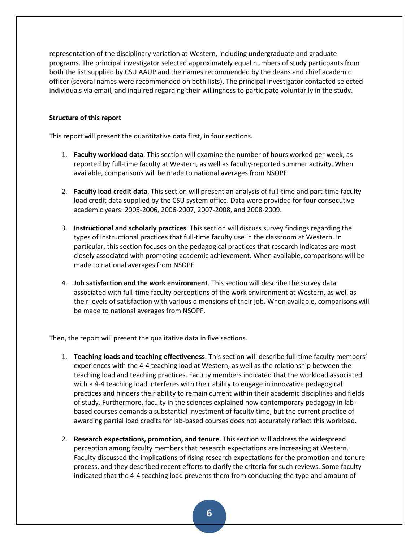representation of the disciplinary variation at Western, including undergraduate and graduate programs. The principal investigator selected approximately equal numbers of study particpants from both the list supplied by CSU AAUP and the names recommended by the deans and chief academic officer (several names were recommended on both lists). The principal investigator contacted selected individuals via email, and inquired regarding their willingness to participate voluntarily in the study.

### **Structure of this report**

This report will present the quantitative data first, in four sections.

- 1. **Faculty workload data**. This section will examine the number of hours worked per week, as reported by full-time faculty at Western, as well as faculty-reported summer activity. When available, comparisons will be made to national averages from NSOPF.
- 2. **Faculty load credit data**. This section will present an analysis of full-time and part-time faculty load credit data supplied by the CSU system office. Data were provided for four consecutive academic years: 2005-2006, 2006-2007, 2007-2008, and 2008-2009.
- 3. **Instructional and scholarly practices**. This section will discuss survey findings regarding the types of instructional practices that full-time faculty use in the classroom at Western. In particular, this section focuses on the pedagogical practices that research indicates are most closely associated with promoting academic achievement. When available, comparisons will be made to national averages from NSOPF.
- 4. **Job satisfaction and the work environment**. This section will describe the survey data associated with full-time faculty perceptions of the work environment at Western, as well as their levels of satisfaction with various dimensions of their job. When available, comparisons will be made to national averages from NSOPF.

Then, the report will present the qualitative data in five sections.

- 1. **Teaching loads and teaching effectiveness**. This section will describe full-time faculty members' experiences with the 4-4 teaching load at Western, as well as the relationship between the teaching load and teaching practices. Faculty members indicated that the workload associated with a 4-4 teaching load interferes with their ability to engage in innovative pedagogical practices and hinders their ability to remain current within their academic disciplines and fields of study. Furthermore, faculty in the sciences explained how contemporary pedagogy in labbased courses demands a substantial investment of faculty time, but the current practice of awarding partial load credits for lab-based courses does not accurately reflect this workload.
- 2. **Research expectations, promotion, and tenure**. This section will address the widespread perception among faculty members that research expectations are increasing at Western. Faculty discussed the implications of rising research expectations for the promotion and tenure process, and they described recent efforts to clarify the criteria for such reviews. Some faculty indicated that the 4-4 teaching load prevents them from conducting the type and amount of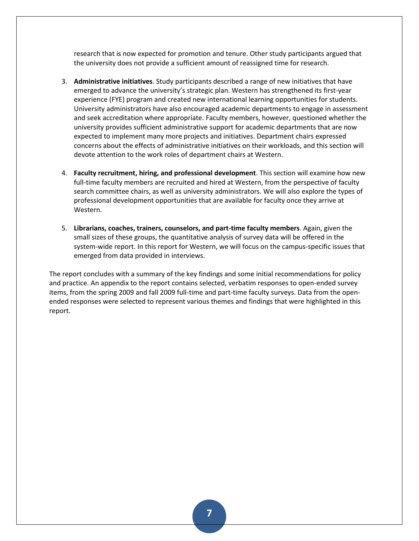research that is now expected for promotion and tenure. Other study participants argued that the university does not provide a sufficient amount of reassigned time for research.

- 3. **Administrative initiatives**. Study participants described a range of new initiatives that have emerged to advance the university's strategic plan. Western has strengthened its first-year experience (FYE) program and created new international learning opportunities for students. University administrators have also encouraged academic departments to engage in assessment and seek accreditation where appropriate. Faculty members, however, questioned whether the university provides sufficient administrative support for academic departments that are now expected to implement many more projects and initiatives. Department chairs expressed concerns about the effects of administrative initiatives on their workloads, and this section will devote attention to the work roles of department chairs at Western.
- 4. **Faculty recruitment, hiring, and professional development**. This section will examine how new full-time faculty members are recruited and hired at Western, from the perspective of faculty search committee chairs, as well as university administrators. We will also explore the types of professional development opportunities that are available for faculty once they arrive at Western.
- 5. **Librarians, coaches, trainers, counselors, and part-time faculty members**. Again, given the small sizes of these groups, the quantitative analysis of survey data will be offered in the system-wide report. In this report for Western, we will focus on the campus-specific issues that emerged from data provided in interviews.

The report concludes with a summary of the key findings and some initial recommendations for policy and practice. An appendix to the report contains selected, verbatim responses to open-ended survey items, from the spring 2009 and fall 2009 full-time and part-time faculty surveys. Data from the openended responses were selected to represent various themes and findings that were highlighted in this report.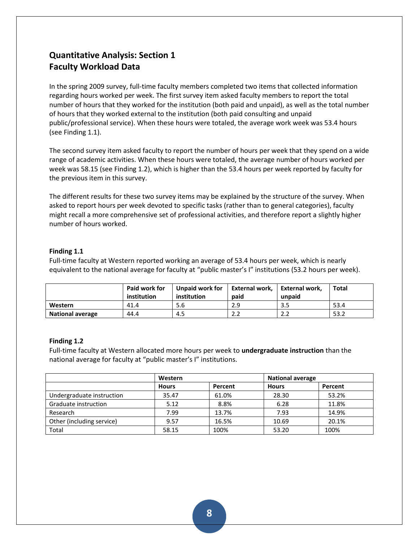# **Quantitative Analysis: Section 1 Faculty Workload Data**

In the spring 2009 survey, full-time faculty members completed two items that collected information regarding hours worked per week. The first survey item asked faculty members to report the total number of hours that they worked for the institution (both paid and unpaid), as well as the total number of hours that they worked external to the institution (both paid consulting and unpaid public/professional service). When these hours were totaled, the average work week was 53.4 hours (see Finding 1.1).

The second survey item asked faculty to report the number of hours per week that they spend on a wide range of academic activities. When these hours were totaled, the average number of hours worked per week was 58.15 (see Finding 1.2), which is higher than the 53.4 hours per week reported by faculty for the previous item in this survey.

The different results for these two survey items may be explained by the structure of the survey. When asked to report hours per week devoted to specific tasks (rather than to general categories), faculty might recall a more comprehensive set of professional activities, and therefore report a slightly higher number of hours worked.

## **Finding 1.1**

Full-time faculty at Western reported working an average of 53.4 hours per week, which is nearly equivalent to the national average for faculty at "public master's I" institutions (53.2 hours per week).

|                         | Paid work for<br>institution | Unpaid work for<br>institution | External work,<br>paid | <b>External work,</b><br>unpaid | <b>Total</b> |
|-------------------------|------------------------------|--------------------------------|------------------------|---------------------------------|--------------|
| Western                 | 41.4                         | 5.6                            | 2.9                    | 3.5                             | 53.4         |
| <b>National average</b> | 44.4                         | 4.5                            | າາ<br>ے ۔              | 2.2                             | 53.2         |

## **Finding 1.2**

Full-time faculty at Western allocated more hours per week to **undergraduate instruction** than the national average for faculty at "public master's I" institutions.

|                           | Western      |         | <b>National average</b> |         |  |
|---------------------------|--------------|---------|-------------------------|---------|--|
|                           | <b>Hours</b> | Percent | <b>Hours</b>            | Percent |  |
| Undergraduate instruction | 35.47        | 61.0%   | 28.30                   | 53.2%   |  |
| Graduate instruction      | 5.12         | 8.8%    | 6.28                    | 11.8%   |  |
| Research                  | 7.99         | 13.7%   | 7.93                    | 14.9%   |  |
| Other (including service) | 9.57         | 16.5%   | 10.69                   | 20.1%   |  |
| Total                     | 58.15        | 100%    | 53.20                   | 100%    |  |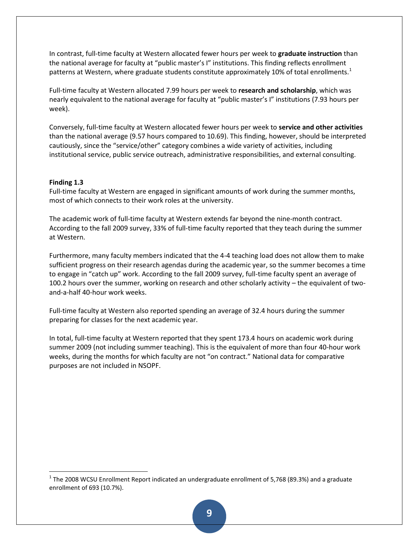In contrast, full-time faculty at Western allocated fewer hours per week to **graduate instruction** than the national average for faculty at "public master's I" institutions. This finding reflects enrollment patterns at Western, where graduate students constitute approximately 10% of total enrollments.<sup>1</sup>

Full-time faculty at Western allocated 7.99 hours per week to **research and scholarship**, which was nearly equivalent to the national average for faculty at "public master's I" institutions (7.93 hours per week).

Conversely, full-time faculty at Western allocated fewer hours per week to **service and other activities** than the national average (9.57 hours compared to 10.69). This finding, however, should be interpreted cautiously, since the "service/other" category combines a wide variety of activities, including institutional service, public service outreach, administrative responsibilities, and external consulting.

### **Finding 1.3**

l

Full-time faculty at Western are engaged in significant amounts of work during the summer months, most of which connects to their work roles at the university.

The academic work of full-time faculty at Western extends far beyond the nine-month contract. According to the fall 2009 survey, 33% of full-time faculty reported that they teach during the summer at Western.

Furthermore, many faculty members indicated that the 4-4 teaching load does not allow them to make sufficient progress on their research agendas during the academic year, so the summer becomes a time to engage in "catch up" work. According to the fall 2009 survey, full-time faculty spent an average of 100.2 hours over the summer, working on research and other scholarly activity – the equivalent of twoand-a-half 40-hour work weeks.

Full-time faculty at Western also reported spending an average of 32.4 hours during the summer preparing for classes for the next academic year.

In total, full-time faculty at Western reported that they spent 173.4 hours on academic work during summer 2009 (not including summer teaching). This is the equivalent of more than four 40-hour work weeks, during the months for which faculty are not "on contract." National data for comparative purposes are not included in NSOPF.

 $^{1}$  The 2008 WCSU Enrollment Report indicated an undergraduate enrollment of 5,768 (89.3%) and a graduate enrollment of 693 (10.7%).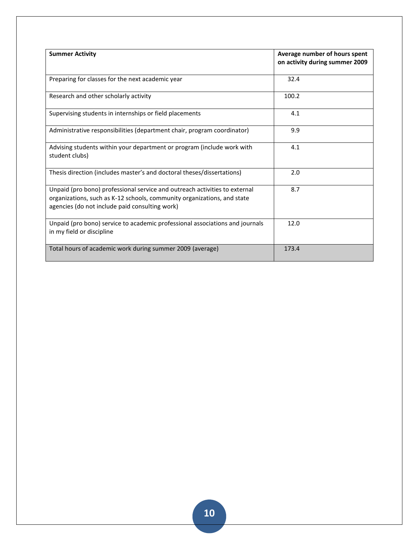| <b>Summer Activity</b>                                                                                                                                                                                  | Average number of hours spent<br>on activity during summer 2009 |  |  |
|---------------------------------------------------------------------------------------------------------------------------------------------------------------------------------------------------------|-----------------------------------------------------------------|--|--|
| Preparing for classes for the next academic year                                                                                                                                                        | 32.4                                                            |  |  |
| Research and other scholarly activity                                                                                                                                                                   | 100.2                                                           |  |  |
| Supervising students in internships or field placements                                                                                                                                                 | 4.1                                                             |  |  |
| Administrative responsibilities (department chair, program coordinator)                                                                                                                                 | 9.9                                                             |  |  |
| Advising students within your department or program (include work with<br>student clubs)                                                                                                                | 4.1                                                             |  |  |
| Thesis direction (includes master's and doctoral theses/dissertations)                                                                                                                                  | 2.0                                                             |  |  |
| Unpaid (pro bono) professional service and outreach activities to external<br>organizations, such as K-12 schools, community organizations, and state<br>agencies (do not include paid consulting work) | 8.7                                                             |  |  |
| Unpaid (pro bono) service to academic professional associations and journals<br>in my field or discipline                                                                                               | 12.0                                                            |  |  |
| Total hours of academic work during summer 2009 (average)                                                                                                                                               | 173.4                                                           |  |  |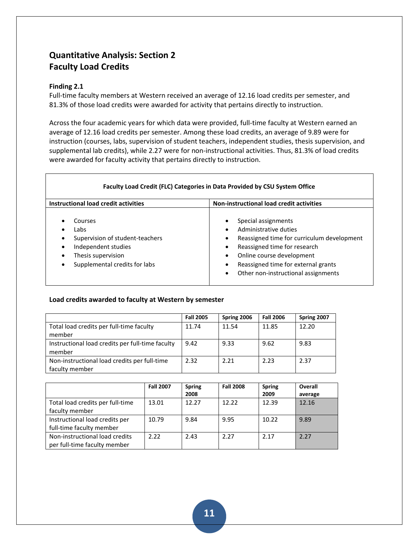# **Quantitative Analysis: Section 2 Faculty Load Credits**

## **Finding 2.1**

Full-time faculty members at Western received an average of 12.16 load credits per semester, and 81.3% of those load credits were awarded for activity that pertains directly to instruction.

Across the four academic years for which data were provided, full-time faculty at Western earned an average of 12.16 load credits per semester. Among these load credits, an average of 9.89 were for instruction (courses, labs, supervision of student teachers, independent studies, thesis supervision, and supplemental lab credits), while 2.27 were for non-instructional activities. Thus, 81.3% of load credits were awarded for faculty activity that pertains directly to instruction.

| Instructional load credit activities                                                                                             | <b>Non-instructional load credit activities</b>                                                                                                                                                                                                                           |
|----------------------------------------------------------------------------------------------------------------------------------|---------------------------------------------------------------------------------------------------------------------------------------------------------------------------------------------------------------------------------------------------------------------------|
| Courses<br>Labs<br>Supervision of student-teachers<br>Independent studies<br>Thesis supervision<br>Supplemental credits for labs | Special assignments<br>Administrative duties<br>$\bullet$<br>Reassigned time for curriculum development<br>٠<br>Reassigned time for research<br>٠<br>Online course development<br>Reassigned time for external grants<br>Other non-instructional assignments<br>$\bullet$ |

## **Load credits awarded to faculty at Western by semester**

|                                                  | <b>Fall 2005</b> | Spring 2006 | <b>Fall 2006</b> | Spring 2007 |
|--------------------------------------------------|------------------|-------------|------------------|-------------|
| Total load credits per full-time faculty         | 11.74            | 11.54       | 11.85            | 12.20       |
| member                                           |                  |             |                  |             |
| Instructional load credits per full-time faculty | 9.42             | 9.33        | 9.62             | 9.83        |
| member                                           |                  |             |                  |             |
| Non-instructional load credits per full-time     | 2.32             | 2.21        | 2.23             | 2.37        |
| faculty member                                   |                  |             |                  |             |

|                                  | <b>Fall 2007</b> | <b>Spring</b> | <b>Fall 2008</b> | <b>Spring</b> | Overall |
|----------------------------------|------------------|---------------|------------------|---------------|---------|
|                                  |                  | 2008          |                  | 2009          | average |
| Total load credits per full-time | 13.01            | 12.27         | 12.22            | 12.39         | 12.16   |
| faculty member                   |                  |               |                  |               |         |
| Instructional load credits per   | 10.79            | 9.84          | 9.95             | 10.22         | 9.89    |
| full-time faculty member         |                  |               |                  |               |         |
| Non-instructional load credits   | 2.22             | 2.43          | 2.27             | 2.17          | 2.27    |
| per full-time faculty member     |                  |               |                  |               |         |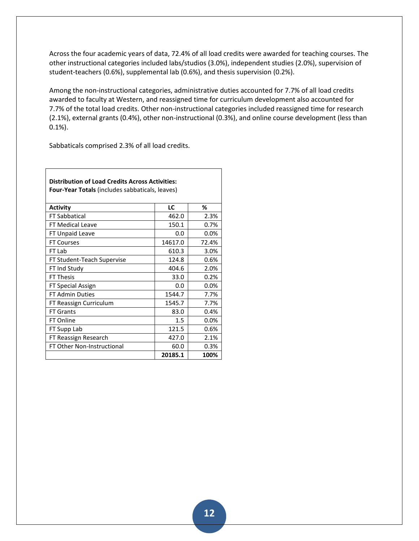Across the four academic years of data, 72.4% of all load credits were awarded for teaching courses. The other instructional categories included labs/studios (3.0%), independent studies (2.0%), supervision of student-teachers (0.6%), supplemental lab (0.6%), and thesis supervision (0.2%).

Among the non-instructional categories, administrative duties accounted for 7.7% of all load credits awarded to faculty at Western, and reassigned time for curriculum development also accounted for 7.7% of the total load credits. Other non-instructional categories included reassigned time for research (2.1%), external grants (0.4%), other non-instructional (0.3%), and online course development (less than 0.1%).

Sabbaticals comprised 2.3% of all load credits.

| <b>Distribution of Load Credits Across Activities:</b><br><b>Four-Year Totals</b> (includes sabbaticals, leaves) |         |       |  |  |  |  |  |  |
|------------------------------------------------------------------------------------------------------------------|---------|-------|--|--|--|--|--|--|
| <b>Activity</b>                                                                                                  | LC      | ℅     |  |  |  |  |  |  |
| <b>FT Sabbatical</b>                                                                                             | 462.0   | 2.3%  |  |  |  |  |  |  |
| <b>FT Medical Leave</b>                                                                                          | 150.1   | 0.7%  |  |  |  |  |  |  |
| FT Unpaid Leave                                                                                                  | 0.0     | 0.0%  |  |  |  |  |  |  |
| <b>FT Courses</b>                                                                                                | 14617.0 | 72.4% |  |  |  |  |  |  |
| FT Lab                                                                                                           | 610.3   | 3.0%  |  |  |  |  |  |  |
| FT Student-Teach Supervise                                                                                       | 124.8   | 0.6%  |  |  |  |  |  |  |
| FT Ind Study                                                                                                     | 404.6   | 2.0%  |  |  |  |  |  |  |
| <b>FT Thesis</b>                                                                                                 | 33.0    | 0.2%  |  |  |  |  |  |  |
| FT Special Assign                                                                                                | 0.0     | 0.0%  |  |  |  |  |  |  |
| <b>FT Admin Duties</b>                                                                                           | 1544.7  | 7.7%  |  |  |  |  |  |  |
| FT Reassign Curriculum                                                                                           | 1545.7  | 7.7%  |  |  |  |  |  |  |
| <b>FT Grants</b>                                                                                                 | 83.0    | 0.4%  |  |  |  |  |  |  |
| FT Online                                                                                                        | 1.5     | 0.0%  |  |  |  |  |  |  |
| FT Supp Lab                                                                                                      | 121.5   | 0.6%  |  |  |  |  |  |  |
| FT Reassign Research                                                                                             | 427.0   | 2.1%  |  |  |  |  |  |  |
| FT Other Non-Instructional                                                                                       | 60.0    | 0.3%  |  |  |  |  |  |  |
|                                                                                                                  | 20185.1 | 100%  |  |  |  |  |  |  |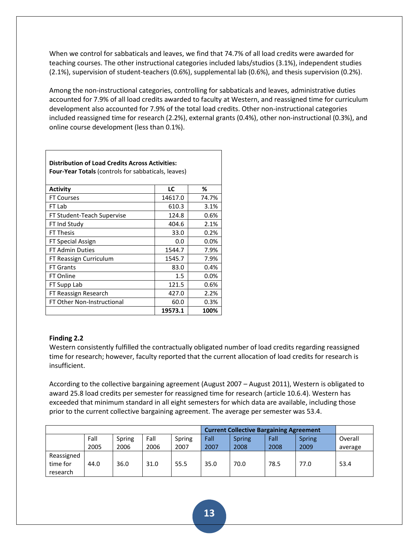When we control for sabbaticals and leaves, we find that 74.7% of all load credits were awarded for teaching courses. The other instructional categories included labs/studios (3.1%), independent studies (2.1%), supervision of student-teachers (0.6%), supplemental lab (0.6%), and thesis supervision (0.2%).

Among the non-instructional categories, controlling for sabbaticals and leaves, administrative duties accounted for 7.9% of all load credits awarded to faculty at Western, and reassigned time for curriculum development also accounted for 7.9% of the total load credits. Other non-instructional categories included reassigned time for research (2.2%), external grants (0.4%), other non-instructional (0.3%), and online course development (less than 0.1%).

| <b>Distribution of Load Credits Across Activities:</b><br><b>Four-Year Totals</b> (controls for sabbaticals, leaves) |         |         |  |  |  |  |  |  |
|----------------------------------------------------------------------------------------------------------------------|---------|---------|--|--|--|--|--|--|
| <b>Activity</b>                                                                                                      | LC      | ℅       |  |  |  |  |  |  |
| <b>FT Courses</b>                                                                                                    | 14617.0 | 74.7%   |  |  |  |  |  |  |
| FT Lab                                                                                                               | 610.3   | 3.1%    |  |  |  |  |  |  |
| FT Student-Teach Supervise                                                                                           | 124.8   | 0.6%    |  |  |  |  |  |  |
| FT Ind Study                                                                                                         | 404.6   | 2.1%    |  |  |  |  |  |  |
| <b>FT Thesis</b>                                                                                                     | 33.0    | 0.2%    |  |  |  |  |  |  |
| FT Special Assign                                                                                                    | 0.0     | 0.0%    |  |  |  |  |  |  |
| <b>FT Admin Duties</b>                                                                                               | 1544.7  | 7.9%    |  |  |  |  |  |  |
| FT Reassign Curriculum                                                                                               | 1545.7  | 7.9%    |  |  |  |  |  |  |
| <b>FT Grants</b>                                                                                                     | 83.0    | 0.4%    |  |  |  |  |  |  |
| FT Online                                                                                                            | 1.5     | $0.0\%$ |  |  |  |  |  |  |
| FT Supp Lab                                                                                                          | 121.5   | 0.6%    |  |  |  |  |  |  |
| FT Reassign Research                                                                                                 | 427.0   | 2.2%    |  |  |  |  |  |  |
| FT Other Non-Instructional                                                                                           | 60.0    | 0.3%    |  |  |  |  |  |  |
|                                                                                                                      | 19573.1 | 100%    |  |  |  |  |  |  |

## **Finding 2.2**

Western consistently fulfilled the contractually obligated number of load credits regarding reassigned time for research; however, faculty reported that the current allocation of load credits for research is insufficient.

According to the collective bargaining agreement (August 2007 – August 2011), Western is obligated to award 25.8 load credits per semester for reassigned time for research (article 10.6.4). Western has exceeded that minimum standard in all eight semesters for which data are available, including those prior to the current collective bargaining agreement. The average per semester was 53.4.

|            |      |        |      | <b>Current Collective Bargaining Agreement</b> |      |               |      |               |         |
|------------|------|--------|------|------------------------------------------------|------|---------------|------|---------------|---------|
|            | Fall | Spring | Fall | Spring                                         | Fall | <b>Spring</b> | Fall | <b>Spring</b> | Overall |
|            | 2005 | 2006   | 2006 | 2007                                           | 2007 | 2008          | 2008 | 2009          | average |
| Reassigned |      |        |      |                                                |      |               |      |               |         |
| time for   | 44.0 | 36.0   | 31.0 | 55.5                                           | 35.0 | 70.0          | 78.5 | 77.0          | 53.4    |
| research   |      |        |      |                                                |      |               |      |               |         |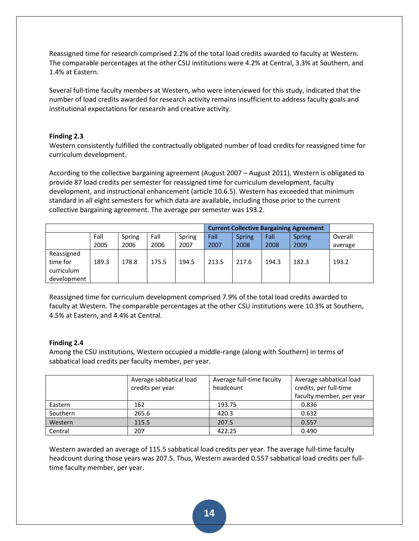Reassigned time for research comprised 2.2% of the total load credits awarded to faculty at Western. The comparable percentages at the other CSU institutions were 4.2% at Central, 3.3% at Southern, and 1.4% at Eastern.

Several full-time faculty members at Western, who were interviewed for this study, indicated that the number of load credits awarded for research activity remains insufficient to address faculty goals and institutional expectations for research and creative activity.

## **Finding 2.3**

Western consistently fulfilled the contractually obligated number of load credits for reassigned time for curriculum development.

According to the collective bargaining agreement (August 2007 – August 2011), Western is obligated to provide 87 load credits per semester for reassigned time for curriculum development, faculty development, and instructional enhancement (article 10.6.5). Western has exceeded that minimum standard in all eight semesters for which data are available, including those prior to the current collective bargaining agreement. The average per semester was 193.2.

|                                                     |       |        |       |        |       |               |       | <b>Current Collective Bargaining Agreement</b> |         |
|-----------------------------------------------------|-------|--------|-------|--------|-------|---------------|-------|------------------------------------------------|---------|
|                                                     | Fall  | Spring | Fall  | Spring | Fall  | <b>Spring</b> | Fall  | <b>Spring</b>                                  | Overall |
|                                                     | 2005  | 2006   | 2006  | 2007   | 2007  | 2008          | 2008  | 2009                                           | average |
| Reassigned<br>time for<br>curriculum<br>development | 189.3 | 178.8  | 175.5 | 194.5  | 213.5 | 217.6         | 194.3 | 182.3                                          | 193.2   |

Reassigned time for curriculum development comprised 7.9% of the total load credits awarded to faculty at Western. The comparable percentages at the other CSU institutions were 10.3% at Southern, 4.5% at Eastern, and 4.4% at Central.

## **Finding 2.4**

Among the CSU institutions, Western occupied a middle-range (along with Southern) in terms of sabbatical load credits per faculty member, per year.

|          | Average sabbatical load<br>credits per year | Average full-time faculty<br>headcount | Average sabbatical load<br>credits, per full-time<br>faculty member, per year |
|----------|---------------------------------------------|----------------------------------------|-------------------------------------------------------------------------------|
| Eastern  | 162                                         | 193.75                                 | 0.836                                                                         |
| Southern | 265.6                                       | 420.3                                  | 0.632                                                                         |
| Western  | 115.5                                       | 207.5                                  | 0.557                                                                         |
| Central  | 207                                         | 422.25                                 | 0.490                                                                         |

Western awarded an average of 115.5 sabbatical load credits per year. The average full-time faculty headcount during those years was 207.5. Thus, Western awarded 0.557 sabbatical load credits per fulltime faculty member, per year.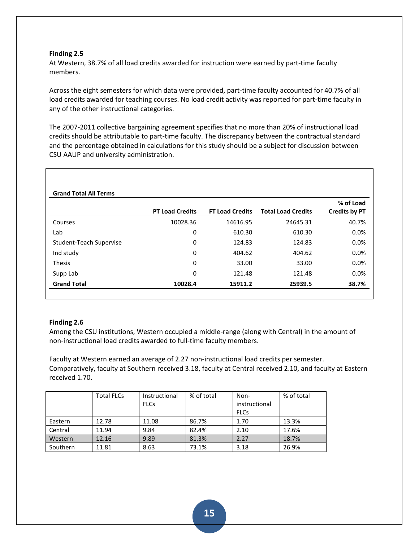At Western, 38.7% of all load credits awarded for instruction were earned by part-time faculty members.

Across the eight semesters for which data were provided, part-time faculty accounted for 40.7% of all load credits awarded for teaching courses. No load credit activity was reported for part-time faculty in any of the other instructional categories.

The 2007-2011 collective bargaining agreement specifies that no more than 20% of instructional load credits should be attributable to part-time faculty. The discrepancy between the contractual standard and the percentage obtained in calculations for this study should be a subject for discussion between CSU AAUP and university administration.

|                         |                        |                        |                           | % of Load     |
|-------------------------|------------------------|------------------------|---------------------------|---------------|
|                         | <b>PT Load Credits</b> | <b>FT Load Credits</b> | <b>Total Load Credits</b> | Credits by PT |
| Courses                 | 10028.36               | 14616.95               | 24645.31                  | 40.7%         |
| Lab                     | 0                      | 610.30                 | 610.30                    | 0.0%          |
| Student-Teach Supervise | 0                      | 124.83                 | 124.83                    | 0.0%          |
| Ind study               | 0                      | 404.62                 | 404.62                    | 0.0%          |
| <b>Thesis</b>           | 0                      | 33.00                  | 33.00                     | 0.0%          |
| Supp Lab                | 0                      | 121.48                 | 121.48                    | 0.0%          |
| <b>Grand Total</b>      | 10028.4                | 15911.2                | 25939.5                   | 38.7%         |

### **Finding 2.6**

Among the CSU institutions, Western occupied a middle-range (along with Central) in the amount of non-instructional load credits awarded to full-time faculty members.

Faculty at Western earned an average of 2.27 non-instructional load credits per semester. Comparatively, faculty at Southern received 3.18, faculty at Central received 2.10, and faculty at Eastern received 1.70.

|          | <b>Total FLCs</b> | Instructional | % of total | Non-          | % of total |
|----------|-------------------|---------------|------------|---------------|------------|
|          |                   | <b>FLCs</b>   |            | instructional |            |
|          |                   |               |            | <b>FLCs</b>   |            |
| Eastern  | 12.78             | 11.08         | 86.7%      | 1.70          | 13.3%      |
| Central  | 11.94             | 9.84          | 82.4%      | 2.10          | 17.6%      |
| Western  | 12.16             | 9.89          | 81.3%      | 2.27          | 18.7%      |
| Southern | 11.81             | 8.63          | 73.1%      | 3.18          | 26.9%      |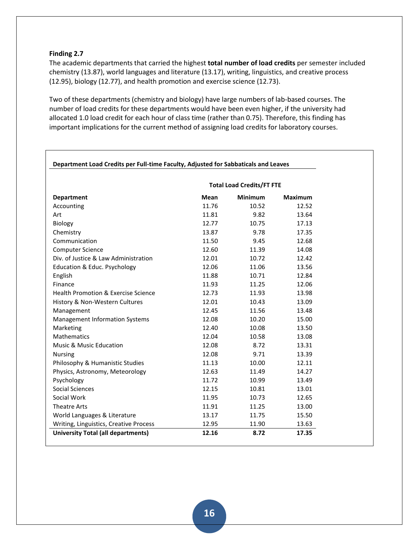The academic departments that carried the highest **total number of load credits** per semester included chemistry (13.87), world languages and literature (13.17), writing, linguistics, and creative process (12.95), biology (12.77), and health promotion and exercise science (12.73).

Two of these departments (chemistry and biology) have large numbers of lab-based courses. The number of load credits for these departments would have been even higher, if the university had allocated 1.0 load credit for each hour of class time (rather than 0.75). Therefore, this finding has important implications for the current method of assigning load credits for laboratory courses.

|                                           | <b>Total Load Credits/FT FTE</b> |         |                |  |  |
|-------------------------------------------|----------------------------------|---------|----------------|--|--|
| <b>Department</b>                         | <b>Mean</b>                      | Minimum | <b>Maximum</b> |  |  |
| Accounting                                | 11.76                            | 10.52   | 12.52          |  |  |
| Art                                       | 11.81                            | 9.82    | 13.64          |  |  |
| Biology                                   | 12.77                            | 10.75   | 17.13          |  |  |
| Chemistry                                 | 13.87                            | 9.78    | 17.35          |  |  |
| Communication                             | 11.50                            | 9.45    | 12.68          |  |  |
| <b>Computer Science</b>                   | 12.60                            | 11.39   | 14.08          |  |  |
| Div. of Justice & Law Administration      | 12.01                            | 10.72   | 12.42          |  |  |
| Education & Educ. Psychology              | 12.06                            | 11.06   | 13.56          |  |  |
| English                                   | 11.88                            | 10.71   | 12.84          |  |  |
| Finance                                   | 11.93                            | 11.25   | 12.06          |  |  |
| Health Promotion & Exercise Science       | 12.73                            | 11.93   | 13.98          |  |  |
| History & Non-Western Cultures            | 12.01                            | 10.43   | 13.09          |  |  |
| Management                                | 12.45                            | 11.56   | 13.48          |  |  |
| <b>Management Information Systems</b>     | 12.08                            | 10.20   | 15.00          |  |  |
| Marketing                                 | 12.40                            | 10.08   | 13.50          |  |  |
| Mathematics                               | 12.04                            | 10.58   | 13.08          |  |  |
| Music & Music Education                   | 12.08                            | 8.72    | 13.31          |  |  |
| <b>Nursing</b>                            | 12.08                            | 9.71    | 13.39          |  |  |
| Philosophy & Humanistic Studies           | 11.13                            | 10.00   | 12.11          |  |  |
| Physics, Astronomy, Meteorology           | 12.63                            | 11.49   | 14.27          |  |  |
| Psychology                                | 11.72                            | 10.99   | 13.49          |  |  |
| <b>Social Sciences</b>                    | 12.15                            | 10.81   | 13.01          |  |  |
| Social Work                               | 11.95                            | 10.73   | 12.65          |  |  |
| <b>Theatre Arts</b>                       | 11.91                            | 11.25   | 13.00          |  |  |
| World Languages & Literature              | 13.17                            | 11.75   | 15.50          |  |  |
| Writing, Linguistics, Creative Process    | 12.95                            | 11.90   | 13.63          |  |  |
| <b>University Total (all departments)</b> | 12.16                            | 8.72    | 17.35          |  |  |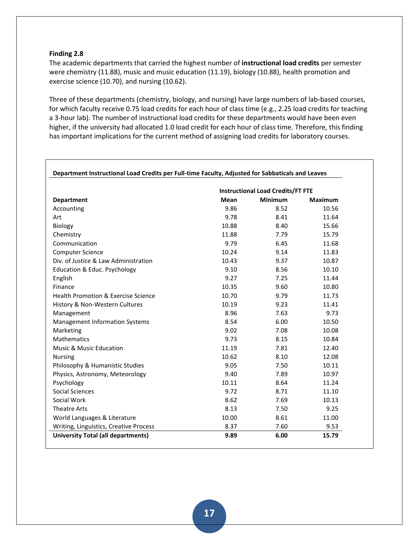The academic departments that carried the highest number of **instructional load credits** per semester were chemistry (11.88), music and music education (11.19), biology (10.88), health promotion and exercise science (10.70), and nursing (10.62).

Three of these departments (chemistry, biology, and nursing) have large numbers of lab-based courses, for which faculty receive 0.75 load credits for each hour of class time (e.g., 2.25 load credits for teaching a 3-hour lab). The number of instructional load credits for these departments would have been even higher, if the university had allocated 1.0 load credit for each hour of class time. Therefore, this finding has important implications for the current method of assigning load credits for laboratory courses.

|                                                |             | <b>Instructional Load Credits/FT FTE</b> |                |
|------------------------------------------------|-------------|------------------------------------------|----------------|
| <b>Department</b>                              | <b>Mean</b> | <b>Minimum</b>                           | <b>Maximum</b> |
| Accounting                                     | 9.86        | 8.52                                     | 10.56          |
| Art                                            | 9.78        | 8.41                                     | 11.64          |
| Biology                                        | 10.88       | 8.40                                     | 15.66          |
| Chemistry                                      | 11.88       | 7.79                                     | 15.79          |
| Communication                                  | 9.79        | 6.45                                     | 11.68          |
| <b>Computer Science</b>                        | 10.24       | 9.14                                     | 11.83          |
| Div. of Justice & Law Administration           | 10.43       | 9.37                                     | 10.87          |
| Education & Educ. Psychology                   | 9.10        | 8.56                                     | 10.10          |
| English                                        | 9.27        | 7.25                                     | 11.44          |
| Finance                                        | 10.35       | 9.60                                     | 10.80          |
| <b>Health Promotion &amp; Exercise Science</b> | 10.70       | 9.79                                     | 11.73          |
| History & Non-Western Cultures                 | 10.19       | 9.23                                     | 11.41          |
| Management                                     | 8.96        | 7.63                                     | 9.73           |
| <b>Management Information Systems</b>          | 8.54        | 6.00                                     | 10.50          |
| Marketing                                      | 9.02        | 7.08                                     | 10.08          |
| <b>Mathematics</b>                             | 9.73        | 8.15                                     | 10.84          |
| <b>Music &amp; Music Education</b>             | 11.19       | 7.81                                     | 12.40          |
| <b>Nursing</b>                                 | 10.62       | 8.10                                     | 12.08          |
| Philosophy & Humanistic Studies                | 9.05        | 7.50                                     | 10.11          |
| Physics, Astronomy, Meteorology                | 9.40        | 7.89                                     | 10.97          |
| Psychology                                     | 10.11       | 8.64                                     | 11.24          |
| Social Sciences                                | 9.72        | 8.71                                     | 11.10          |
| Social Work                                    | 8.62        | 7.69                                     | 10.13          |
| <b>Theatre Arts</b>                            | 8.13        | 7.50                                     | 9.25           |
| World Languages & Literature                   | 10.00       | 8.61                                     | 11.00          |
| Writing, Linguistics, Creative Process         | 8.37        | 7.60                                     | 9.53           |
| <b>University Total (all departments)</b>      | 9.89        | 6.00                                     | 15.79          |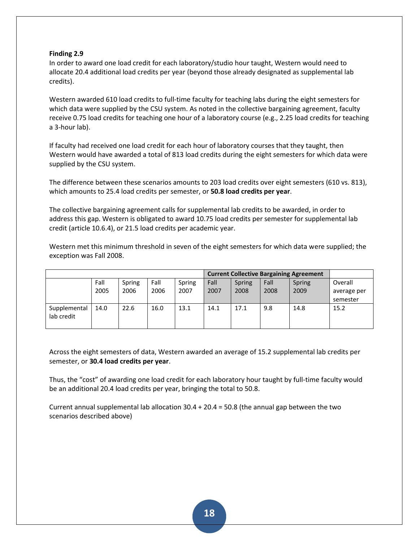In order to award one load credit for each laboratory/studio hour taught, Western would need to allocate 20.4 additional load credits per year (beyond those already designated as supplemental lab credits).

Western awarded 610 load credits to full-time faculty for teaching labs during the eight semesters for which data were supplied by the CSU system. As noted in the collective bargaining agreement, faculty receive 0.75 load credits for teaching one hour of a laboratory course (e.g., 2.25 load credits for teaching a 3-hour lab).

If faculty had received one load credit for each hour of laboratory courses that they taught, then Western would have awarded a total of 813 load credits during the eight semesters for which data were supplied by the CSU system.

The difference between these scenarios amounts to 203 load credits over eight semesters (610 vs. 813), which amounts to 25.4 load credits per semester, or **50.8 load credits per year**.

The collective bargaining agreement calls for supplemental lab credits to be awarded, in order to address this gap. Western is obligated to award 10.75 load credits per semester for supplemental lab credit (article 10.6.4), or 21.5 load credits per academic year.

Western met this minimum threshold in seven of the eight semesters for which data were supplied; the exception was Fall 2008.

|              |      |        |      |        | <b>Current Collective Bargaining Agreement</b> |               |      |        |             |
|--------------|------|--------|------|--------|------------------------------------------------|---------------|------|--------|-------------|
|              | Fall | Spring | Fall | Spring | Fall                                           | <b>Spring</b> | Fall | Spring | Overall     |
|              | 2005 | 2006   | 2006 | 2007   | 2007                                           | 2008          | 2008 | 2009   | average per |
|              |      |        |      |        |                                                |               |      |        | semester    |
| Supplemental | 14.0 | 22.6   | 16.0 | 13.1   | 14.1                                           | 17.1          | 9.8  | 14.8   | 15.2        |
| lab credit   |      |        |      |        |                                                |               |      |        |             |
|              |      |        |      |        |                                                |               |      |        |             |

Across the eight semesters of data, Western awarded an average of 15.2 supplemental lab credits per semester, or **30.4 load credits per year**.

Thus, the "cost" of awarding one load credit for each laboratory hour taught by full-time faculty would be an additional 20.4 load credits per year, bringing the total to 50.8.

Current annual supplemental lab allocation  $30.4 + 20.4 = 50.8$  (the annual gap between the two scenarios described above)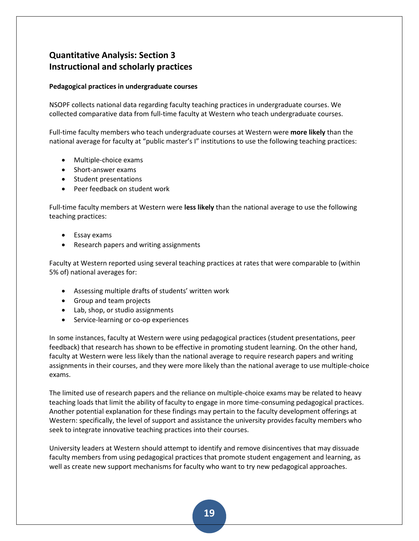# **Quantitative Analysis: Section 3 Instructional and scholarly practices**

## **Pedagogical practices in undergraduate courses**

NSOPF collects national data regarding faculty teaching practices in undergraduate courses. We collected comparative data from full-time faculty at Western who teach undergraduate courses.

Full-time faculty members who teach undergraduate courses at Western were **more likely** than the national average for faculty at "public master's I" institutions to use the following teaching practices:

- Multiple-choice exams
- Short-answer exams
- Student presentations
- Peer feedback on student work

Full-time faculty members at Western were **less likely** than the national average to use the following teaching practices:

- Essay exams
- Research papers and writing assignments

Faculty at Western reported using several teaching practices at rates that were comparable to (within 5% of) national averages for:

- Assessing multiple drafts of students' written work
- Group and team projects
- Lab, shop, or studio assignments
- Service-learning or co-op experiences

In some instances, faculty at Western were using pedagogical practices (student presentations, peer feedback) that research has shown to be effective in promoting student learning. On the other hand, faculty at Western were less likely than the national average to require research papers and writing assignments in their courses, and they were more likely than the national average to use multiple-choice exams.

The limited use of research papers and the reliance on multiple-choice exams may be related to heavy teaching loads that limit the ability of faculty to engage in more time-consuming pedagogical practices. Another potential explanation for these findings may pertain to the faculty development offerings at Western: specifically, the level of support and assistance the university provides faculty members who seek to integrate innovative teaching practices into their courses.

University leaders at Western should attempt to identify and remove disincentives that may dissuade faculty members from using pedagogical practices that promote student engagement and learning, as well as create new support mechanisms for faculty who want to try new pedagogical approaches.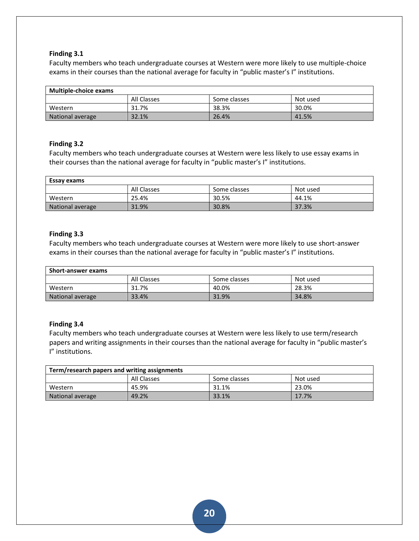Faculty members who teach undergraduate courses at Western were more likely to use multiple-choice exams in their courses than the national average for faculty in "public master's I" institutions.

| <b>Multiple-choice exams</b>            |       |       |       |  |  |
|-----------------------------------------|-------|-------|-------|--|--|
| All Classes<br>Not used<br>Some classes |       |       |       |  |  |
| Western                                 | 31.7% | 38.3% | 30.0% |  |  |
| National average                        | 32.1% | 26.4% | 41.5% |  |  |

## **Finding 3.2**

Faculty members who teach undergraduate courses at Western were less likely to use essay exams in their courses than the national average for faculty in "public master's I" institutions.

| Essay exams                             |       |       |       |  |  |
|-----------------------------------------|-------|-------|-------|--|--|
| All Classes<br>Not used<br>Some classes |       |       |       |  |  |
| Western                                 | 25.4% | 30.5% | 44.1% |  |  |
| National average                        | 31.9% | 30.8% | 37.3% |  |  |

## **Finding 3.3**

Faculty members who teach undergraduate courses at Western were more likely to use short-answer exams in their courses than the national average for faculty in "public master's I" institutions.

| <b>Short-answer exams</b>               |       |       |       |  |  |
|-----------------------------------------|-------|-------|-------|--|--|
| All Classes<br>Not used<br>Some classes |       |       |       |  |  |
| Western                                 | 31.7% | 40.0% | 28.3% |  |  |
| National average                        | 33.4% | 31.9% | 34.8% |  |  |

## **Finding 3.4**

Faculty members who teach undergraduate courses at Western were less likely to use term/research papers and writing assignments in their courses than the national average for faculty in "public master's I" institutions.

| Term/research papers and writing assignments |       |       |       |  |  |
|----------------------------------------------|-------|-------|-------|--|--|
| All Classes<br>Some classes<br>Not used      |       |       |       |  |  |
| Western                                      | 45.9% | 31.1% | 23.0% |  |  |
| National average                             | 49.2% | 33.1% | 17.7% |  |  |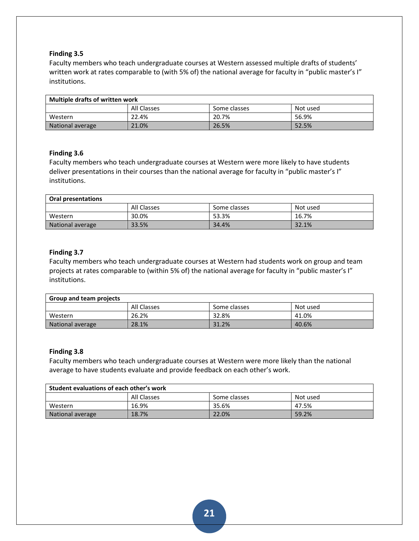Faculty members who teach undergraduate courses at Western assessed multiple drafts of students' written work at rates comparable to (with 5% of) the national average for faculty in "public master's I" institutions.

| Multiple drafts of written work         |       |       |       |  |  |
|-----------------------------------------|-------|-------|-------|--|--|
| All Classes<br>Not used<br>Some classes |       |       |       |  |  |
| Western                                 | 22.4% | 20.7% | 56.9% |  |  |
| National average                        | 21.0% | 26.5% | 52.5% |  |  |

## **Finding 3.6**

Faculty members who teach undergraduate courses at Western were more likely to have students deliver presentations in their courses than the national average for faculty in "public master's I" institutions.

| Oral presentations                      |       |       |       |  |  |
|-----------------------------------------|-------|-------|-------|--|--|
| All Classes<br>Not used<br>Some classes |       |       |       |  |  |
| Western                                 | 30.0% | 53.3% | 16.7% |  |  |
| National average                        | 33.5% | 34.4% | 32.1% |  |  |

## **Finding 3.7**

Faculty members who teach undergraduate courses at Western had students work on group and team projects at rates comparable to (within 5% of) the national average for faculty in "public master's I" institutions.

| <b>Group and team projects</b> |             |              |          |
|--------------------------------|-------------|--------------|----------|
|                                | All Classes | Some classes | Not used |
| Western                        | 26.2%       | 32.8%        | 41.0%    |
| National average               | 28.1%       | 31.2%        | 40.6%    |

## **Finding 3.8**

Faculty members who teach undergraduate courses at Western were more likely than the national average to have students evaluate and provide feedback on each other's work.

| Student evaluations of each other's work |             |              |          |
|------------------------------------------|-------------|--------------|----------|
|                                          | All Classes | Some classes | Not used |
| Western                                  | 16.9%       | 35.6%        | 47.5%    |
| National average                         | 18.7%       | 22.0%        | 59.2%    |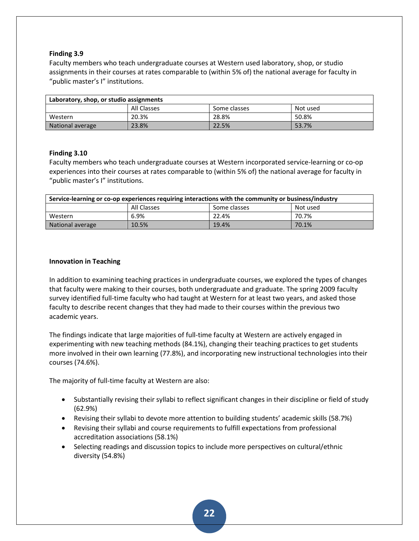Faculty members who teach undergraduate courses at Western used laboratory, shop, or studio assignments in their courses at rates comparable to (within 5% of) the national average for faculty in "public master's I" institutions.

| Laboratory, shop, or studio assignments |             |              |          |
|-----------------------------------------|-------------|--------------|----------|
|                                         | All Classes | Some classes | Not used |
| Western                                 | 20.3%       | 28.8%        | 50.8%    |
| National average                        | 23.8%       | 22.5%        | 53.7%    |

## **Finding 3.10**

Faculty members who teach undergraduate courses at Western incorporated service-learning or co-op experiences into their courses at rates comparable to (within 5% of) the national average for faculty in "public master's I" institutions.

| Service-learning or co-op experiences requiring interactions with the community or business/industry |       |       |       |  |  |
|------------------------------------------------------------------------------------------------------|-------|-------|-------|--|--|
| Some classes<br>All Classes<br>Not used                                                              |       |       |       |  |  |
| Western                                                                                              | 6.9%  | 22.4% | 70.7% |  |  |
| National average                                                                                     | 10.5% | 19.4% | 70.1% |  |  |

## **Innovation in Teaching**

In addition to examining teaching practices in undergraduate courses, we explored the types of changes that faculty were making to their courses, both undergraduate and graduate. The spring 2009 faculty survey identified full-time faculty who had taught at Western for at least two years, and asked those faculty to describe recent changes that they had made to their courses within the previous two academic years.

The findings indicate that large majorities of full-time faculty at Western are actively engaged in experimenting with new teaching methods (84.1%), changing their teaching practices to get students more involved in their own learning (77.8%), and incorporating new instructional technologies into their courses (74.6%).

The majority of full-time faculty at Western are also:

- Substantially revising their syllabi to reflect significant changes in their discipline or field of study (62.9%)
- Revising their syllabi to devote more attention to building students' academic skills (58.7%)
- Revising their syllabi and course requirements to fulfill expectations from professional accreditation associations (58.1%)
- Selecting readings and discussion topics to include more perspectives on cultural/ethnic diversity (54.8%)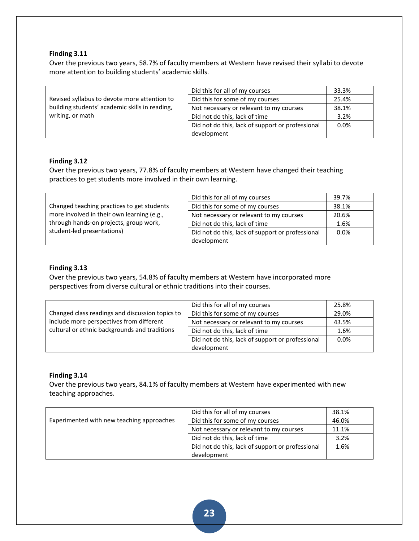Over the previous two years, 58.7% of faculty members at Western have revised their syllabi to devote more attention to building students' academic skills.

|                                                | Did this for all of my courses                   | 33.3% |
|------------------------------------------------|--------------------------------------------------|-------|
| Revised syllabus to devote more attention to   | Did this for some of my courses                  | 25.4% |
| building students' academic skills in reading, | Not necessary or relevant to my courses          | 38.1% |
| writing, or math                               | Did not do this, lack of time                    | 3.2%  |
|                                                | Did not do this, lack of support or professional | 0.0%  |
|                                                | development                                      |       |

## **Finding 3.12**

Over the previous two years, 77.8% of faculty members at Western have changed their teaching practices to get students more involved in their own learning.

|                                                                      | Did this for all of my courses                   | 39.7% |
|----------------------------------------------------------------------|--------------------------------------------------|-------|
| Changed teaching practices to get students                           | Did this for some of my courses                  | 38.1% |
| more involved in their own learning (e.g.,                           | Not necessary or relevant to my courses          | 20.6% |
| through hands-on projects, group work,<br>student-led presentations) | Did not do this, lack of time                    | 1.6%  |
|                                                                      | Did not do this, lack of support or professional | 0.0%  |
|                                                                      | development                                      |       |

## **Finding 3.13**

Over the previous two years, 54.8% of faculty members at Western have incorporated more perspectives from diverse cultural or ethnic traditions into their courses.

|                                                 | Did this for all of my courses                   | 25.8% |
|-------------------------------------------------|--------------------------------------------------|-------|
| Changed class readings and discussion topics to | Did this for some of my courses                  | 29.0% |
| include more perspectives from different        | Not necessary or relevant to my courses          | 43.5% |
| cultural or ethnic backgrounds and traditions   | Did not do this, lack of time                    | 1.6%  |
|                                                 | Did not do this, lack of support or professional | 0.0%  |
|                                                 | development                                      |       |

## **Finding 3.14**

Over the previous two years, 84.1% of faculty members at Western have experimented with new teaching approaches.

|                                           | Did this for all of my courses                   | 38.1% |
|-------------------------------------------|--------------------------------------------------|-------|
| Experimented with new teaching approaches | Did this for some of my courses                  | 46.0% |
|                                           | Not necessary or relevant to my courses          | 11.1% |
|                                           | Did not do this, lack of time                    | 3.2%  |
|                                           | Did not do this, lack of support or professional | 1.6%  |
|                                           | development                                      |       |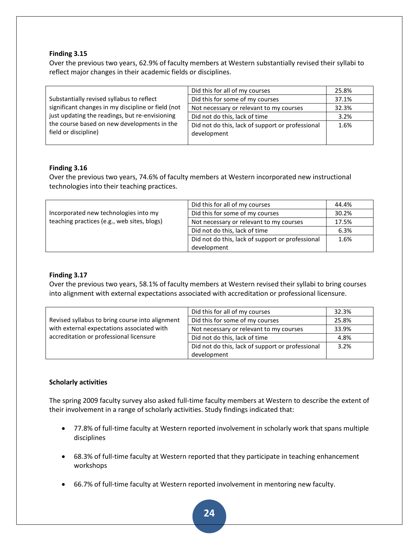Over the previous two years, 62.9% of faculty members at Western substantially revised their syllabi to reflect major changes in their academic fields or disciplines.

|                                                                                                                       | Did this for all of my courses                                  | 25.8% |
|-----------------------------------------------------------------------------------------------------------------------|-----------------------------------------------------------------|-------|
| Substantially revised syllabus to reflect                                                                             | Did this for some of my courses                                 | 37.1% |
| significant changes in my discipline or field (not                                                                    | Not necessary or relevant to my courses                         | 32.3% |
| just updating the readings, but re-envisioning<br>the course based on new developments in the<br>field or discipline) | Did not do this, lack of time                                   | 3.2%  |
|                                                                                                                       | Did not do this, lack of support or professional<br>development | 1.6%  |

## **Finding 3.16**

Over the previous two years, 74.6% of faculty members at Western incorporated new instructional technologies into their teaching practices.

|                                                                                      | Did this for all of my courses                   | 44.4% |
|--------------------------------------------------------------------------------------|--------------------------------------------------|-------|
| Incorporated new technologies into my<br>teaching practices (e.g., web sites, blogs) | Did this for some of my courses                  | 30.2% |
|                                                                                      | Not necessary or relevant to my courses          | 17.5% |
|                                                                                      | Did not do this, lack of time                    | 6.3%  |
|                                                                                      | Did not do this, lack of support or professional | 1.6%  |
|                                                                                      | development                                      |       |

## **Finding 3.17**

Over the previous two years, 58.1% of faculty members at Western revised their syllabi to bring courses into alignment with external expectations associated with accreditation or professional licensure.

|                                                 | Did this for all of my courses                   | 32.3% |
|-------------------------------------------------|--------------------------------------------------|-------|
| Revised syllabus to bring course into alignment | Did this for some of my courses                  | 25.8% |
| with external expectations associated with      | Not necessary or relevant to my courses          | 33.9% |
| accreditation or professional licensure         | Did not do this, lack of time                    | 4.8%  |
|                                                 | Did not do this, lack of support or professional | 3.2%  |
|                                                 | development                                      |       |

## **Scholarly activities**

The spring 2009 faculty survey also asked full-time faculty members at Western to describe the extent of their involvement in a range of scholarly activities. Study findings indicated that:

- 77.8% of full-time faculty at Western reported involvement in scholarly work that spans multiple disciplines
- 68.3% of full-time faculty at Western reported that they participate in teaching enhancement workshops
- 66.7% of full-time faculty at Western reported involvement in mentoring new faculty.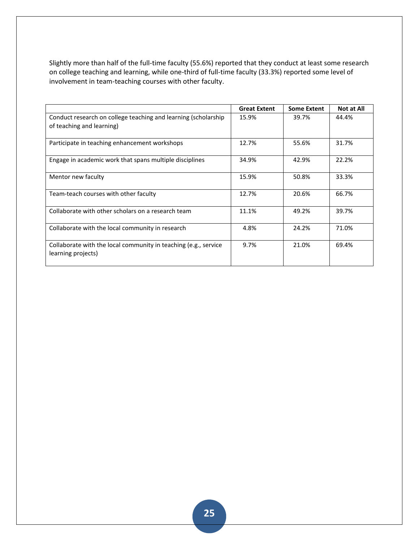Slightly more than half of the full-time faculty (55.6%) reported that they conduct at least some research on college teaching and learning, while one-third of full-time faculty (33.3%) reported some level of involvement in team-teaching courses with other faculty.

|                                                                                             | <b>Great Extent</b> | <b>Some Extent</b> | <b>Not at All</b> |
|---------------------------------------------------------------------------------------------|---------------------|--------------------|-------------------|
| Conduct research on college teaching and learning (scholarship<br>of teaching and learning) | 15.9%               | 39.7%              | 44.4%             |
| Participate in teaching enhancement workshops                                               | 12.7%               | 55.6%              | 31.7%             |
| Engage in academic work that spans multiple disciplines                                     | 34.9%               | 42.9%              | 22.2%             |
| Mentor new faculty                                                                          | 15.9%               | 50.8%              | 33.3%             |
| Team-teach courses with other faculty                                                       | 12.7%               | 20.6%              | 66.7%             |
| Collaborate with other scholars on a research team                                          | 11.1%               | 49.2%              | 39.7%             |
| Collaborate with the local community in research                                            | 4.8%                | 24.2%              | 71.0%             |
| Collaborate with the local community in teaching (e.g., service<br>learning projects)       | 9.7%                | 21.0%              | 69.4%             |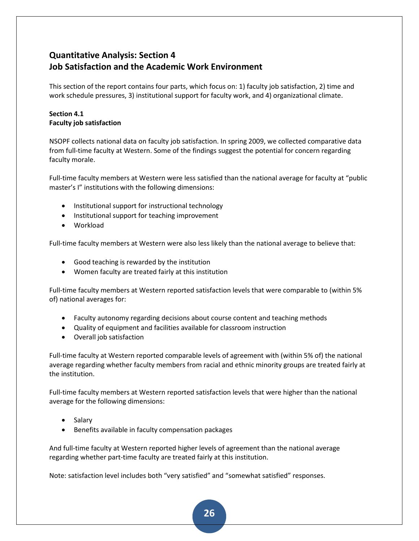# **Quantitative Analysis: Section 4 Job Satisfaction and the Academic Work Environment**

This section of the report contains four parts, which focus on: 1) faculty job satisfaction, 2) time and work schedule pressures, 3) institutional support for faculty work, and 4) organizational climate.

## **Section 4.1 Faculty job satisfaction**

NSOPF collects national data on faculty job satisfaction. In spring 2009, we collected comparative data from full-time faculty at Western. Some of the findings suggest the potential for concern regarding faculty morale.

Full-time faculty members at Western were less satisfied than the national average for faculty at "public master's I" institutions with the following dimensions:

- Institutional support for instructional technology
- Institutional support for teaching improvement
- Workload

Full-time faculty members at Western were also less likely than the national average to believe that:

- Good teaching is rewarded by the institution
- Women faculty are treated fairly at this institution

Full-time faculty members at Western reported satisfaction levels that were comparable to (within 5% of) national averages for:

- Faculty autonomy regarding decisions about course content and teaching methods
- Quality of equipment and facilities available for classroom instruction
- Overall job satisfaction

Full-time faculty at Western reported comparable levels of agreement with (within 5% of) the national average regarding whether faculty members from racial and ethnic minority groups are treated fairly at the institution.

Full-time faculty members at Western reported satisfaction levels that were higher than the national average for the following dimensions:

- Salary
- Benefits available in faculty compensation packages

And full-time faculty at Western reported higher levels of agreement than the national average regarding whether part-time faculty are treated fairly at this institution.

Note: satisfaction level includes both "very satisfied" and "somewhat satisfied" responses.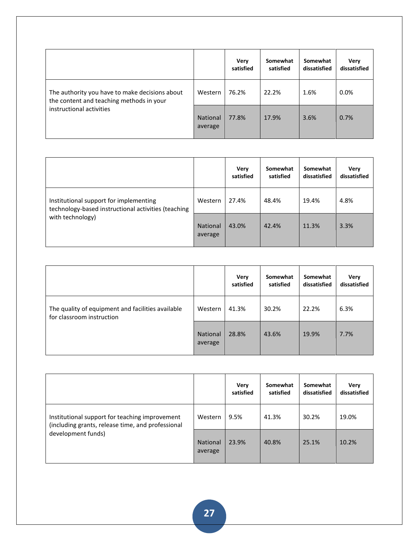|                                                                                                                        |                            | Very<br>satisfied | Somewhat<br>satisfied | Somewhat<br>dissatisfied | Very<br>dissatisfied |
|------------------------------------------------------------------------------------------------------------------------|----------------------------|-------------------|-----------------------|--------------------------|----------------------|
| The authority you have to make decisions about<br>the content and teaching methods in your<br>instructional activities | Western                    | 76.2%             | 22.2%                 | 1.6%                     | $0.0\%$              |
|                                                                                                                        | <b>National</b><br>average | 77.8%             | 17.9%                 | 3.6%                     | 0.7%                 |

|                                                                                                                   |                            | <b>Very</b><br>satisfied | Somewhat<br>satisfied | Somewhat<br>dissatisfied | Very<br>dissatisfied |
|-------------------------------------------------------------------------------------------------------------------|----------------------------|--------------------------|-----------------------|--------------------------|----------------------|
| Institutional support for implementing<br>technology-based instructional activities (teaching<br>with technology) | Western                    | 27.4%                    | 48.4%                 | 19.4%                    | 4.8%                 |
|                                                                                                                   | <b>National</b><br>average | 43.0%                    | 42.4%                 | 11.3%                    | 3.3%                 |

|                                                                                |                            | Very<br>satisfied | Somewhat<br>satisfied | Somewhat<br>dissatisfied | Very<br>dissatisfied |
|--------------------------------------------------------------------------------|----------------------------|-------------------|-----------------------|--------------------------|----------------------|
| The quality of equipment and facilities available<br>for classroom instruction | Western                    | 41.3%             | 30.2%                 | 22.2%                    | 6.3%                 |
|                                                                                | <b>National</b><br>average | 28.8%             | 43.6%                 | 19.9%                    | 7.7%                 |

|                                                                                                                           |                            | Very<br>satisfied | Somewhat<br>satisfied | Somewhat<br>dissatisfied | Very<br>dissatisfied |
|---------------------------------------------------------------------------------------------------------------------------|----------------------------|-------------------|-----------------------|--------------------------|----------------------|
| Institutional support for teaching improvement<br>(including grants, release time, and professional<br>development funds) | Western                    | 9.5%              | 41.3%                 | 30.2%                    | 19.0%                |
|                                                                                                                           | <b>National</b><br>average | 23.9%             | 40.8%                 | 25.1%                    | 10.2%                |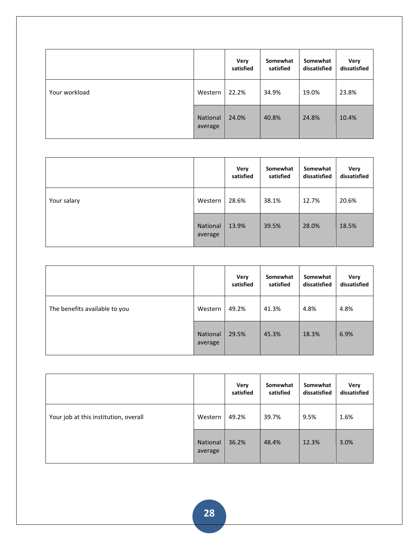|               |                     | Very<br>satisfied | Somewhat<br>satisfied | Somewhat<br>dissatisfied | Very<br>dissatisfied |
|---------------|---------------------|-------------------|-----------------------|--------------------------|----------------------|
| Your workload | Western             | 22.2%             | 34.9%                 | 19.0%                    | 23.8%                |
|               | National<br>average | 24.0%             | 40.8%                 | 24.8%                    | 10.4%                |

|             |                     | <b>Very</b><br>satisfied | Somewhat<br>satisfied | Somewhat<br>dissatisfied | <b>Very</b><br>dissatisfied |
|-------------|---------------------|--------------------------|-----------------------|--------------------------|-----------------------------|
| Your salary | Western             | 28.6%                    | 38.1%                 | 12.7%                    | 20.6%                       |
|             | National<br>average | 13.9%                    | 39.5%                 | 28.0%                    | 18.5%                       |

|                               |                     | Very<br>satisfied | Somewhat<br>satisfied | Somewhat<br>dissatisfied | <b>Very</b><br>dissatisfied |
|-------------------------------|---------------------|-------------------|-----------------------|--------------------------|-----------------------------|
| The benefits available to you | Western             | 49.2%             | 41.3%                 | 4.8%                     | 4.8%                        |
|                               | National<br>average | 29.5%             | 45.3%                 | 18.3%                    | 6.9%                        |

|                                       |                     | Very<br>satisfied | Somewhat<br>satisfied | Somewhat<br>dissatisfied | Very<br>dissatisfied |
|---------------------------------------|---------------------|-------------------|-----------------------|--------------------------|----------------------|
| Your job at this institution, overall | Western             | 49.2%             | 39.7%                 | 9.5%                     | 1.6%                 |
|                                       | National<br>average | 36.2%             | 48.4%                 | 12.3%                    | 3.0%                 |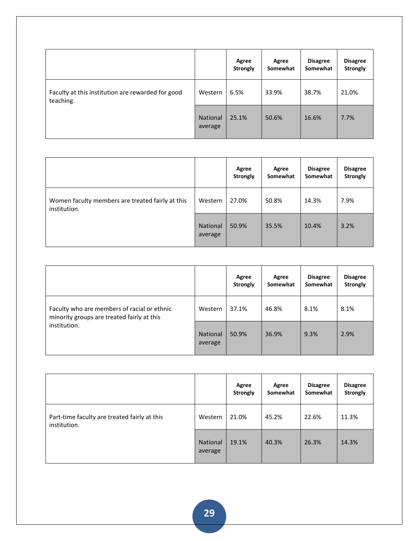|                                                                |                     | Agree<br><b>Strongly</b> | Agree<br>Somewhat | <b>Disagree</b><br>Somewhat | <b>Disagree</b><br><b>Strongly</b> |
|----------------------------------------------------------------|---------------------|--------------------------|-------------------|-----------------------------|------------------------------------|
| Faculty at this institution are rewarded for good<br>teaching. | Western             | 6.5%                     | 33.9%             | 38.7%                       | 21.0%                              |
|                                                                | National<br>average | 25.1%                    | 50.6%             | 16.6%                       | 7.7%                               |

|                                                                  |                            | Agree<br><b>Strongly</b> | Agree<br>Somewhat | <b>Disagree</b><br>Somewhat | <b>Disagree</b><br><b>Strongly</b> |
|------------------------------------------------------------------|----------------------------|--------------------------|-------------------|-----------------------------|------------------------------------|
| Women faculty members are treated fairly at this<br>institution. | Western                    | 27.0%                    | 50.8%             | 14.3%                       | 7.9%                               |
|                                                                  | <b>National</b><br>average | 50.9%                    | 35.5%             | 10.4%                       | 3.2%                               |

|                                                                                                           |                            | Agree<br><b>Strongly</b> | Agree<br>Somewhat | <b>Disagree</b><br>Somewhat | <b>Disagree</b><br><b>Strongly</b> |
|-----------------------------------------------------------------------------------------------------------|----------------------------|--------------------------|-------------------|-----------------------------|------------------------------------|
| Faculty who are members of racial or ethnic<br>minority groups are treated fairly at this<br>institution. | Western                    | 37.1%                    | 46.8%             | 8.1%                        | 8.1%                               |
|                                                                                                           | <b>National</b><br>average | 50.9%                    | 36.9%             | 9.3%                        | 2.9%                               |

|                                                              |                            | Agree<br><b>Strongly</b> | Agree<br>Somewhat | <b>Disagree</b><br>Somewhat | <b>Disagree</b><br><b>Strongly</b> |
|--------------------------------------------------------------|----------------------------|--------------------------|-------------------|-----------------------------|------------------------------------|
| Part-time faculty are treated fairly at this<br>institution. | Western                    | 21.0%                    | 45.2%             | 22.6%                       | 11.3%                              |
|                                                              | <b>National</b><br>average | 19.1%                    | 40.3%             | 26.3%                       | 14.3%                              |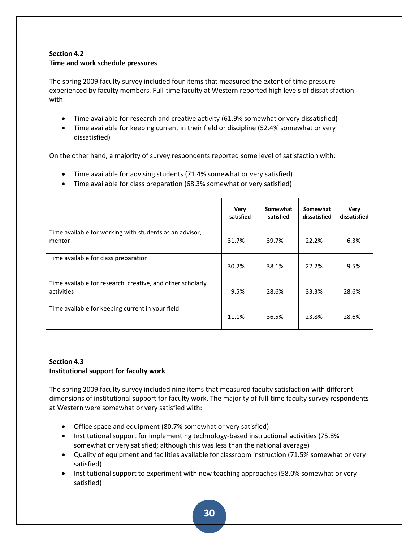## **Section 4.2 Time and work schedule pressures**

The spring 2009 faculty survey included four items that measured the extent of time pressure experienced by faculty members. Full-time faculty at Western reported high levels of dissatisfaction with:

- Time available for research and creative activity (61.9% somewhat or very dissatisfied)
- Time available for keeping current in their field or discipline (52.4% somewhat or very dissatisfied)

On the other hand, a majority of survey respondents reported some level of satisfaction with:

- Time available for advising students (71.4% somewhat or very satisfied)
- Time available for class preparation (68.3% somewhat or very satisfied)

|                                                                          | Very<br>satisfied | Somewhat<br>satisfied | Somewhat<br>dissatisfied | Very<br>dissatisfied |
|--------------------------------------------------------------------------|-------------------|-----------------------|--------------------------|----------------------|
| Time available for working with students as an advisor,<br>mentor        | 31.7%             | 39.7%                 | 22.2%                    | 6.3%                 |
| Time available for class preparation                                     | 30.2%             | 38.1%                 | 22.2%                    | 9.5%                 |
| Time available for research, creative, and other scholarly<br>activities | 9.5%              | 28.6%                 | 33.3%                    | 28.6%                |
| Time available for keeping current in your field                         | 11.1%             | 36.5%                 | 23.8%                    | 28.6%                |

## **Section 4.3 Institutional support for faculty work**

The spring 2009 faculty survey included nine items that measured faculty satisfaction with different dimensions of institutional support for faculty work. The majority of full-time faculty survey respondents at Western were somewhat or very satisfied with:

- Office space and equipment (80.7% somewhat or very satisfied)
- Institutional support for implementing technology-based instructional activities (75.8% somewhat or very satisfied; although this was less than the national average)
- Quality of equipment and facilities available for classroom instruction (71.5% somewhat or very satisfied)
- Institutional support to experiment with new teaching approaches (58.0% somewhat or very satisfied)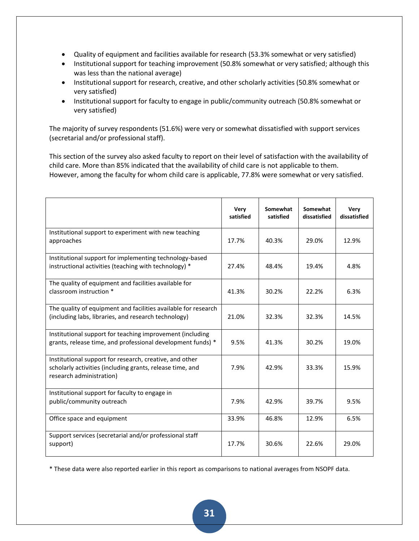- Quality of equipment and facilities available for research (53.3% somewhat or very satisfied)
- Institutional support for teaching improvement (50.8% somewhat or very satisfied; although this was less than the national average)
- Institutional support for research, creative, and other scholarly activities (50.8% somewhat or very satisfied)
- Institutional support for faculty to engage in public/community outreach (50.8% somewhat or very satisfied)

The majority of survey respondents (51.6%) were very or somewhat dissatisfied with support services (secretarial and/or professional staff).

This section of the survey also asked faculty to report on their level of satisfaction with the availability of child care. More than 85% indicated that the availability of child care is not applicable to them. However, among the faculty for whom child care is applicable, 77.8% were somewhat or very satisfied.

|                                                                                                                                                  | <b>Very</b><br>satisfied | Somewhat<br>satisfied | Somewhat<br>dissatisfied | Very<br>dissatisfied |
|--------------------------------------------------------------------------------------------------------------------------------------------------|--------------------------|-----------------------|--------------------------|----------------------|
| Institutional support to experiment with new teaching<br>approaches                                                                              | 17.7%                    | 40.3%                 | 29.0%                    | 12.9%                |
| Institutional support for implementing technology-based<br>instructional activities (teaching with technology) *                                 | 27.4%                    | 48.4%                 | 19.4%                    | 4.8%                 |
| The quality of equipment and facilities available for<br>classroom instruction *                                                                 | 41.3%                    | 30.2%                 | 22.2%                    | 6.3%                 |
| The quality of equipment and facilities available for research<br>(including labs, libraries, and research technology)                           | 21.0%                    | 32.3%                 | 32.3%                    | 14.5%                |
| Institutional support for teaching improvement (including<br>grants, release time, and professional development funds) *                         | 9.5%                     | 41.3%                 | 30.2%                    | 19.0%                |
| Institutional support for research, creative, and other<br>scholarly activities (including grants, release time, and<br>research administration) | 7.9%                     | 42.9%                 | 33.3%                    | 15.9%                |
| Institutional support for faculty to engage in<br>public/community outreach                                                                      | 7.9%                     | 42.9%                 | 39.7%                    | 9.5%                 |
| Office space and equipment                                                                                                                       | 33.9%                    | 46.8%                 | 12.9%                    | 6.5%                 |
| Support services (secretarial and/or professional staff<br>support)                                                                              | 17.7%                    | 30.6%                 | 22.6%                    | 29.0%                |

\* These data were also reported earlier in this report as comparisons to national averages from NSOPF data.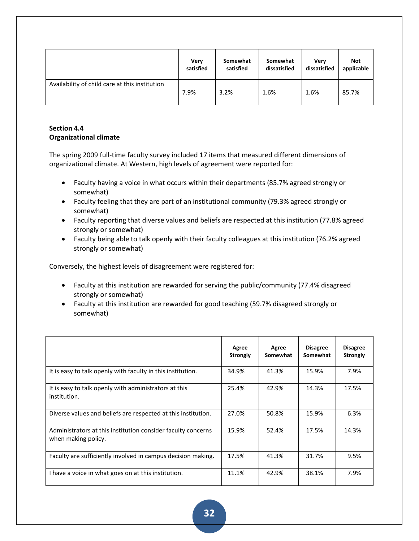|                                                | Very      | Somewhat  | Somewhat     | Verv         | <b>Not</b> |
|------------------------------------------------|-----------|-----------|--------------|--------------|------------|
|                                                | satisfied | satisfied | dissatisfied | dissatisfied | applicable |
| Availability of child care at this institution | 7.9%      | 3.2%      | 1.6%         | 1.6%         | 85.7%      |

## **Section 4.4 Organizational climate**

The spring 2009 full-time faculty survey included 17 items that measured different dimensions of organizational climate. At Western, high levels of agreement were reported for:

- Faculty having a voice in what occurs within their departments (85.7% agreed strongly or somewhat)
- Faculty feeling that they are part of an institutional community (79.3% agreed strongly or somewhat)
- Faculty reporting that diverse values and beliefs are respected at this institution (77.8% agreed strongly or somewhat)
- Faculty being able to talk openly with their faculty colleagues at this institution (76.2% agreed strongly or somewhat)

Conversely, the highest levels of disagreement were registered for:

- Faculty at this institution are rewarded for serving the public/community (77.4% disagreed strongly or somewhat)
- Faculty at this institution are rewarded for good teaching (59.7% disagreed strongly or somewhat)

|                                                                                     | Agree<br><b>Strongly</b> | Agree<br>Somewhat | <b>Disagree</b><br>Somewhat | <b>Disagree</b><br><b>Strongly</b> |
|-------------------------------------------------------------------------------------|--------------------------|-------------------|-----------------------------|------------------------------------|
| It is easy to talk openly with faculty in this institution.                         | 34.9%                    | 41.3%             | 15.9%                       | 7.9%                               |
| It is easy to talk openly with administrators at this<br>institution.               | 25.4%                    | 42.9%             | 14.3%                       | 17.5%                              |
| Diverse values and beliefs are respected at this institution.                       | 27.0%                    | 50.8%             | 15.9%                       | 6.3%                               |
| Administrators at this institution consider faculty concerns<br>when making policy. | 15.9%                    | 52.4%             | 17.5%                       | 14.3%                              |
| Faculty are sufficiently involved in campus decision making.                        | 17.5%                    | 41.3%             | 31.7%                       | 9.5%                               |
| I have a voice in what goes on at this institution.                                 | 11.1%                    | 42.9%             | 38.1%                       | 7.9%                               |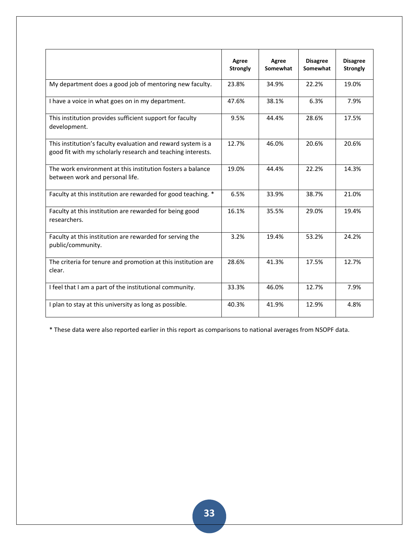|                                                                                                                             | Agree<br><b>Strongly</b> | Agree<br>Somewhat | <b>Disagree</b><br>Somewhat | <b>Disagree</b><br><b>Strongly</b> |
|-----------------------------------------------------------------------------------------------------------------------------|--------------------------|-------------------|-----------------------------|------------------------------------|
| My department does a good job of mentoring new faculty.                                                                     | 23.8%                    | 34.9%             | 22.2%                       | 19.0%                              |
| I have a voice in what goes on in my department.                                                                            | 47.6%                    | 38.1%             | 6.3%                        | 7.9%                               |
| This institution provides sufficient support for faculty<br>development.                                                    | 9.5%                     | 44.4%             | 28.6%                       | 17.5%                              |
| This institution's faculty evaluation and reward system is a<br>good fit with my scholarly research and teaching interests. | 12.7%                    | 46.0%             | 20.6%                       | 20.6%                              |
| The work environment at this institution fosters a balance<br>between work and personal life.                               | 19.0%                    | 44.4%             | 22.2%                       | 14.3%                              |
| Faculty at this institution are rewarded for good teaching. *                                                               | 6.5%                     | 33.9%             | 38.7%                       | 21.0%                              |
| Faculty at this institution are rewarded for being good<br>researchers.                                                     | 16.1%                    | 35.5%             | 29.0%                       | 19.4%                              |
| Faculty at this institution are rewarded for serving the<br>public/community.                                               | 3.2%                     | 19.4%             | 53.2%                       | 24.2%                              |
| The criteria for tenure and promotion at this institution are<br>clear.                                                     | 28.6%                    | 41.3%             | 17.5%                       | 12.7%                              |
| I feel that I am a part of the institutional community.                                                                     | 33.3%                    | 46.0%             | 12.7%                       | 7.9%                               |
| I plan to stay at this university as long as possible.                                                                      | 40.3%                    | 41.9%             | 12.9%                       | 4.8%                               |

\* These data were also reported earlier in this report as comparisons to national averages from NSOPF data.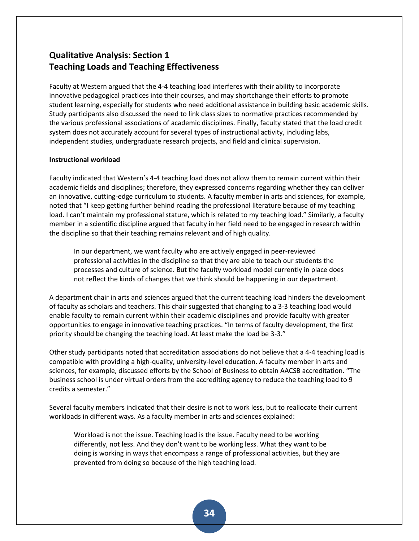# **Qualitative Analysis: Section 1 Teaching Loads and Teaching Effectiveness**

Faculty at Western argued that the 4-4 teaching load interferes with their ability to incorporate innovative pedagogical practices into their courses, and may shortchange their efforts to promote student learning, especially for students who need additional assistance in building basic academic skills. Study participants also discussed the need to link class sizes to normative practices recommended by the various professional associations of academic disciplines. Finally, faculty stated that the load credit system does not accurately account for several types of instructional activity, including labs, independent studies, undergraduate research projects, and field and clinical supervision.

## **Instructional workload**

Faculty indicated that Western's 4-4 teaching load does not allow them to remain current within their academic fields and disciplines; therefore, they expressed concerns regarding whether they can deliver an innovative, cutting-edge curriculum to students. A faculty member in arts and sciences, for example, noted that "I keep getting further behind reading the professional literature because of my teaching load. I can't maintain my professional stature, which is related to my teaching load." Similarly, a faculty member in a scientific discipline argued that faculty in her field need to be engaged in research within the discipline so that their teaching remains relevant and of high quality.

In our department, we want faculty who are actively engaged in peer-reviewed professional activities in the discipline so that they are able to teach our students the processes and culture of science. But the faculty workload model currently in place does not reflect the kinds of changes that we think should be happening in our department.

A department chair in arts and sciences argued that the current teaching load hinders the development of faculty as scholars and teachers. This chair suggested that changing to a 3-3 teaching load would enable faculty to remain current within their academic disciplines and provide faculty with greater opportunities to engage in innovative teaching practices. "In terms of faculty development, the first priority should be changing the teaching load. At least make the load be 3-3."

Other study participants noted that accreditation associations do not believe that a 4-4 teaching load is compatible with providing a high-quality, university-level education. A faculty member in arts and sciences, for example, discussed efforts by the School of Business to obtain AACSB accreditation. "The business school is under virtual orders from the accrediting agency to reduce the teaching load to 9 credits a semester."

Several faculty members indicated that their desire is not to work less, but to reallocate their current workloads in different ways. As a faculty member in arts and sciences explained:

Workload is not the issue. Teaching load is the issue. Faculty need to be working differently, not less. And they don't want to be working less. What they want to be doing is working in ways that encompass a range of professional activities, but they are prevented from doing so because of the high teaching load.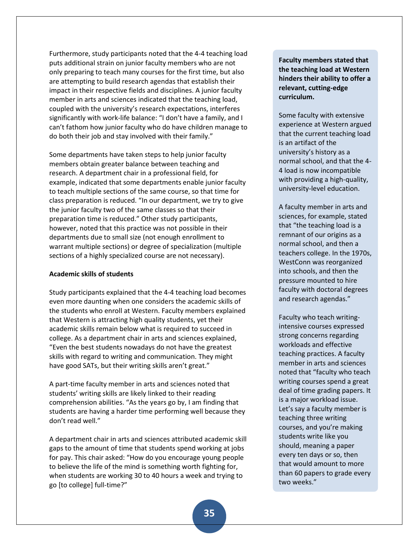Furthermore, study participants noted that the 4-4 teaching load puts additional strain on junior faculty members who are not only preparing to teach many courses for the first time, but also are attempting to build research agendas that establish their impact in their respective fields and disciplines. A junior faculty member in arts and sciences indicated that the teaching load, coupled with the university's research expectations, interferes significantly with work-life balance: "I don't have a family, and I can't fathom how junior faculty who do have children manage to do both their job and stay involved with their family."

Some departments have taken steps to help junior faculty members obtain greater balance between teaching and research. A department chair in a professional field, for example, indicated that some departments enable junior faculty to teach multiple sections of the same course, so that time for class preparation is reduced. "In our department, we try to give the junior faculty two of the same classes so that their preparation time is reduced." Other study participants, however, noted that this practice was not possible in their departments due to small size (not enough enrollment to warrant multiple sections) or degree of specialization (multiple sections of a highly specialized course are not necessary).

### **Academic skills of students**

Study participants explained that the 4-4 teaching load becomes even more daunting when one considers the academic skills of the students who enroll at Western. Faculty members explained that Western is attracting high quality students, yet their academic skills remain below what is required to succeed in college. As a department chair in arts and sciences explained, "Even the best students nowadays do not have the greatest skills with regard to writing and communication. They might have good SATs, but their writing skills aren't great."

A part-time faculty member in arts and sciences noted that students' writing skills are likely linked to their reading comprehension abilities. "As the years go by, I am finding that students are having a harder time performing well because they don't read well."

A department chair in arts and sciences attributed academic skill gaps to the amount of time that students spend working at jobs for pay. This chair asked: "How do you encourage young people to believe the life of the mind is something worth fighting for, when students are working 30 to 40 hours a week and trying to go [to college] full-time?"

**Faculty members stated that the teaching load at Western hinders their ability to offer a relevant, cutting-edge curriculum.**

Some faculty with extensive experience at Western argued that the current teaching load is an artifact of the university's history as a normal school, and that the 4- 4 load is now incompatible with providing a high-quality, university-level education.

A faculty member in arts and sciences, for example, stated that "the teaching load is a remnant of our origins as a normal school, and then a teachers college. In the 1970s, WestConn was reorganized into schools, and then the pressure mounted to hire faculty with doctoral degrees and research agendas."

Faculty who teach writingintensive courses expressed strong concerns regarding workloads and effective teaching practices. A faculty member in arts and sciences noted that "faculty who teach writing courses spend a great deal of time grading papers. It is a major workload issue. Let's say a faculty member is teaching three writing courses, and you're making students write like you should, meaning a paper every ten days or so, then that would amount to more than 60 papers to grade every two weeks."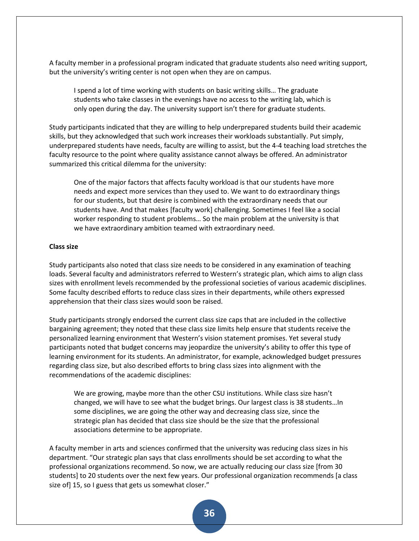A faculty member in a professional program indicated that graduate students also need writing support, but the university's writing center is not open when they are on campus.

I spend a lot of time working with students on basic writing skills… The graduate students who take classes in the evenings have no access to the writing lab, which is only open during the day. The university support isn't there for graduate students.

Study participants indicated that they are willing to help underprepared students build their academic skills, but they acknowledged that such work increases their workloads substantially. Put simply, underprepared students have needs, faculty are willing to assist, but the 4-4 teaching load stretches the faculty resource to the point where quality assistance cannot always be offered. An administrator summarized this critical dilemma for the university:

One of the major factors that affects faculty workload is that our students have more needs and expect more services than they used to. We want to do extraordinary things for our students, but that desire is combined with the extraordinary needs that our students have. And that makes [faculty work] challenging. Sometimes I feel like a social worker responding to student problems… So the main problem at the university is that we have extraordinary ambition teamed with extraordinary need.

### **Class size**

Study participants also noted that class size needs to be considered in any examination of teaching loads. Several faculty and administrators referred to Western's strategic plan, which aims to align class sizes with enrollment levels recommended by the professional societies of various academic disciplines. Some faculty described efforts to reduce class sizes in their departments, while others expressed apprehension that their class sizes would soon be raised.

Study participants strongly endorsed the current class size caps that are included in the collective bargaining agreement; they noted that these class size limits help ensure that students receive the personalized learning environment that Western's vision statement promises. Yet several study participants noted that budget concerns may jeopardize the university's ability to offer this type of learning environment for its students. An administrator, for example, acknowledged budget pressures regarding class size, but also described efforts to bring class sizes into alignment with the recommendations of the academic disciplines:

We are growing, maybe more than the other CSU institutions. While class size hasn't changed, we will have to see what the budget brings. Our largest class is 38 students…In some disciplines, we are going the other way and decreasing class size, since the strategic plan has decided that class size should be the size that the professional associations determine to be appropriate.

A faculty member in arts and sciences confirmed that the university was reducing class sizes in his department. "Our strategic plan says that class enrollments should be set according to what the professional organizations recommend. So now, we are actually reducing our class size [from 30 students] to 20 students over the next few years. Our professional organization recommends [a class size of] 15, so I guess that gets us somewhat closer."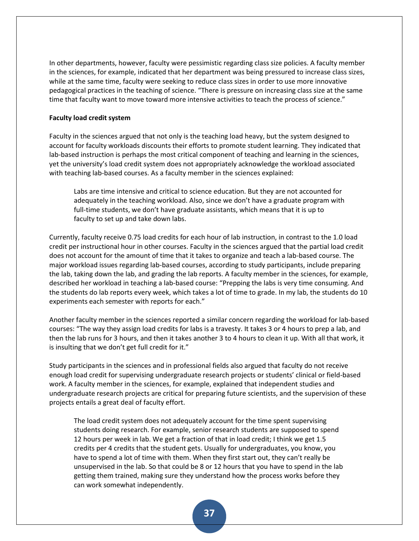In other departments, however, faculty were pessimistic regarding class size policies. A faculty member in the sciences, for example, indicated that her department was being pressured to increase class sizes, while at the same time, faculty were seeking to reduce class sizes in order to use more innovative pedagogical practices in the teaching of science. "There is pressure on increasing class size at the same time that faculty want to move toward more intensive activities to teach the process of science."

### **Faculty load credit system**

Faculty in the sciences argued that not only is the teaching load heavy, but the system designed to account for faculty workloads discounts their efforts to promote student learning. They indicated that lab-based instruction is perhaps the most critical component of teaching and learning in the sciences, yet the university's load credit system does not appropriately acknowledge the workload associated with teaching lab-based courses. As a faculty member in the sciences explained:

Labs are time intensive and critical to science education. But they are not accounted for adequately in the teaching workload. Also, since we don't have a graduate program with full-time students, we don't have graduate assistants, which means that it is up to faculty to set up and take down labs.

Currently, faculty receive 0.75 load credits for each hour of lab instruction, in contrast to the 1.0 load credit per instructional hour in other courses. Faculty in the sciences argued that the partial load credit does not account for the amount of time that it takes to organize and teach a lab-based course. The major workload issues regarding lab-based courses, according to study participants, include preparing the lab, taking down the lab, and grading the lab reports. A faculty member in the sciences, for example, described her workload in teaching a lab-based course: "Prepping the labs is very time consuming. And the students do lab reports every week, which takes a lot of time to grade. In my lab, the students do 10 experiments each semester with reports for each."

Another faculty member in the sciences reported a similar concern regarding the workload for lab-based courses: "The way they assign load credits for labs is a travesty. It takes 3 or 4 hours to prep a lab, and then the lab runs for 3 hours, and then it takes another 3 to 4 hours to clean it up. With all that work, it is insulting that we don't get full credit for it."

Study participants in the sciences and in professional fields also argued that faculty do not receive enough load credit for supervising undergraduate research projects or students' clinical or field-based work. A faculty member in the sciences, for example, explained that independent studies and undergraduate research projects are critical for preparing future scientists, and the supervision of these projects entails a great deal of faculty effort.

The load credit system does not adequately account for the time spent supervising students doing research. For example, senior research students are supposed to spend 12 hours per week in lab. We get a fraction of that in load credit; I think we get 1.5 credits per 4 credits that the student gets. Usually for undergraduates, you know, you have to spend a lot of time with them. When they first start out, they can't really be unsupervised in the lab. So that could be 8 or 12 hours that you have to spend in the lab getting them trained, making sure they understand how the process works before they can work somewhat independently.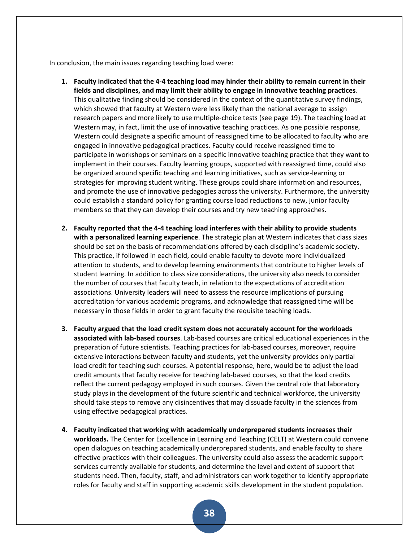In conclusion, the main issues regarding teaching load were:

- **1. Faculty indicated that the 4-4 teaching load may hinder their ability to remain current in their fields and disciplines, and may limit their ability to engage in innovative teaching practices**. This qualitative finding should be considered in the context of the quantitative survey findings, which showed that faculty at Western were less likely than the national average to assign research papers and more likely to use multiple-choice tests (see page 19). The teaching load at Western may, in fact, limit the use of innovative teaching practices. As one possible response, Western could designate a specific amount of reassigned time to be allocated to faculty who are engaged in innovative pedagogical practices. Faculty could receive reassigned time to participate in workshops or seminars on a specific innovative teaching practice that they want to implement in their courses. Faculty learning groups, supported with reassigned time, could also be organized around specific teaching and learning initiatives, such as service-learning or strategies for improving student writing. These groups could share information and resources, and promote the use of innovative pedagogies across the university. Furthermore, the university could establish a standard policy for granting course load reductions to new, junior faculty members so that they can develop their courses and try new teaching approaches.
- **2. Faculty reported that the 4-4 teaching load interferes with their ability to provide students with a personalized learning experience**. The strategic plan at Western indicates that class sizes should be set on the basis of recommendations offered by each discipline's academic society. This practice, if followed in each field, could enable faculty to devote more individualized attention to students, and to develop learning environments that contribute to higher levels of student learning. In addition to class size considerations, the university also needs to consider the number of courses that faculty teach, in relation to the expectations of accreditation associations. University leaders will need to assess the resource implications of pursuing accreditation for various academic programs, and acknowledge that reassigned time will be necessary in those fields in order to grant faculty the requisite teaching loads.
- **3. Faculty argued that the load credit system does not accurately account for the workloads associated with lab-based courses**. Lab-based courses are critical educational experiences in the preparation of future scientists. Teaching practices for lab-based courses, moreover, require extensive interactions between faculty and students, yet the university provides only partial load credit for teaching such courses. A potential response, here, would be to adjust the load credit amounts that faculty receive for teaching lab-based courses, so that the load credits reflect the current pedagogy employed in such courses. Given the central role that laboratory study plays in the development of the future scientific and technical workforce, the university should take steps to remove any disincentives that may dissuade faculty in the sciences from using effective pedagogical practices.
- **4. Faculty indicated that working with academically underprepared students increases their workloads.** The Center for Excellence in Learning and Teaching (CELT) at Western could convene open dialogues on teaching academically underprepared students, and enable faculty to share effective practices with their colleagues. The university could also assess the academic support services currently available for students, and determine the level and extent of support that students need. Then, faculty, staff, and administrators can work together to identify appropriate roles for faculty and staff in supporting academic skills development in the student population.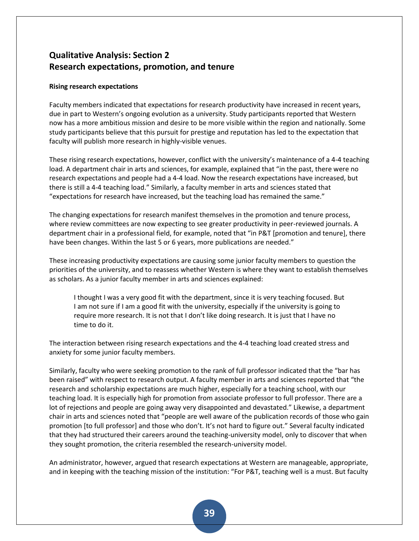# **Qualitative Analysis: Section 2 Research expectations, promotion, and tenure**

## **Rising research expectations**

Faculty members indicated that expectations for research productivity have increased in recent years, due in part to Western's ongoing evolution as a university. Study participants reported that Western now has a more ambitious mission and desire to be more visible within the region and nationally. Some study participants believe that this pursuit for prestige and reputation has led to the expectation that faculty will publish more research in highly-visible venues.

These rising research expectations, however, conflict with the university's maintenance of a 4-4 teaching load. A department chair in arts and sciences, for example, explained that "in the past, there were no research expectations and people had a 4-4 load. Now the research expectations have increased, but there is still a 4-4 teaching load." Similarly, a faculty member in arts and sciences stated that "expectations for research have increased, but the teaching load has remained the same."

The changing expectations for research manifest themselves in the promotion and tenure process, where review committees are now expecting to see greater productivity in peer-reviewed journals. A department chair in a professional field, for example, noted that "in P&T [promotion and tenure], there have been changes. Within the last 5 or 6 years, more publications are needed."

These increasing productivity expectations are causing some junior faculty members to question the priorities of the university, and to reassess whether Western is where they want to establish themselves as scholars. As a junior faculty member in arts and sciences explained:

I thought I was a very good fit with the department, since it is very teaching focused. But I am not sure if I am a good fit with the university, especially if the university is going to require more research. It is not that I don't like doing research. It is just that I have no time to do it.

The interaction between rising research expectations and the 4-4 teaching load created stress and anxiety for some junior faculty members.

Similarly, faculty who were seeking promotion to the rank of full professor indicated that the "bar has been raised" with respect to research output. A faculty member in arts and sciences reported that "the research and scholarship expectations are much higher, especially for a teaching school, with our teaching load. It is especially high for promotion from associate professor to full professor. There are a lot of rejections and people are going away very disappointed and devastated." Likewise, a department chair in arts and sciences noted that "people are well aware of the publication records of those who gain promotion [to full professor] and those who don't. It's not hard to figure out." Several faculty indicated that they had structured their careers around the teaching-university model, only to discover that when they sought promotion, the criteria resembled the research-university model.

An administrator, however, argued that research expectations at Western are manageable, appropriate, and in keeping with the teaching mission of the institution: "For P&T, teaching well is a must. But faculty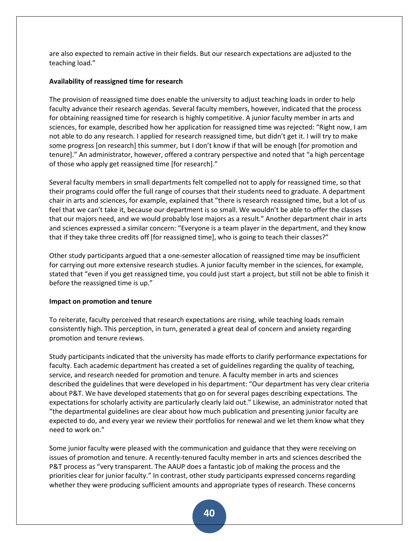are also expected to remain active in their fields. But our research expectations are adjusted to the teaching load."

## **Availability of reassigned time for research**

The provision of reassigned time does enable the university to adjust teaching loads in order to help faculty advance their research agendas. Several faculty members, however, indicated that the process for obtaining reassigned time for research is highly competitive. A junior faculty member in arts and sciences, for example, described how her application for reassigned time was rejected: "Right now, I am not able to do any research. I applied for research reassigned time, but didn't get it. I will try to make some progress [on research] this summer, but I don't know if that will be enough [for promotion and tenure." An administrator, however, offered a contrary perspective and noted that "a high percentage of those who apply get reassigned time [for research]."

Several faculty members in small departments felt compelled not to apply for reassigned time, so that their programs could offer the full range of courses that their students need to graduate. A department chair in arts and sciences, for example, explained that "there is research reassigned time, but a lot of us feel that we can't take it, because our department is so small. We wouldn't be able to offer the classes that our majors need, and we would probably lose majors as a result." Another department chair in arts and sciences expressed a similar concern: "Everyone is a team player in the department, and they know that if they take three credits off [for reassigned time], who is going to teach their classes?"

Other study participants argued that a one-semester allocation of reassigned time may be insufficient for carrying out more extensive research studies. A junior faculty member in the sciences, for example, stated that "even if you get reassigned time, you could just start a project, but still not be able to finish it before the reassigned time is up."

## **Impact on promotion and tenure**

To reiterate, faculty perceived that research expectations are rising, while teaching loads remain consistently high. This perception, in turn, generated a great deal of concern and anxiety regarding promotion and tenure reviews.

Study participants indicated that the university has made efforts to clarify performance expectations for faculty. Each academic department has created a set of guidelines regarding the quality of teaching, service, and research needed for promotion and tenure. A faculty member in arts and sciences described the guidelines that were developed in his department: "Our department has very clear criteria about P&T. We have developed statements that go on for several pages describing expectations. The expectations for scholarly activity are particularly clearly laid out." Likewise, an administrator noted that "the departmental guidelines are clear about how much publication and presenting junior faculty are expected to do, and every year we review their portfolios for renewal and we let them know what they need to work on."

Some junior faculty were pleased with the communication and guidance that they were receiving on issues of promotion and tenure. A recently-tenured faculty member in arts and sciences described the P&T process as "very transparent. The AAUP does a fantastic job of making the process and the priorities clear for junior faculty." In contrast, other study participants expressed concerns regarding whether they were producing sufficient amounts and appropriate types of research. These concerns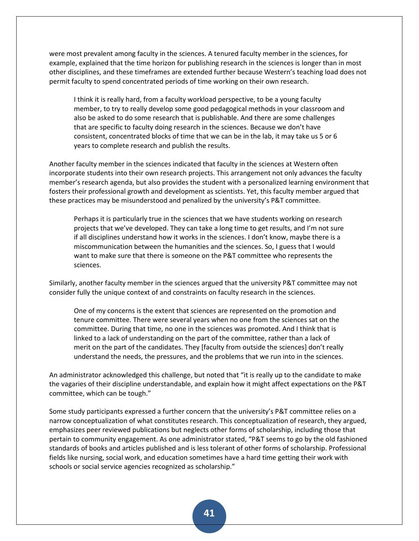were most prevalent among faculty in the sciences. A tenured faculty member in the sciences, for example, explained that the time horizon for publishing research in the sciences is longer than in most other disciplines, and these timeframes are extended further because Western's teaching load does not permit faculty to spend concentrated periods of time working on their own research.

I think it is really hard, from a faculty workload perspective, to be a young faculty member, to try to really develop some good pedagogical methods in your classroom and also be asked to do some research that is publishable. And there are some challenges that are specific to faculty doing research in the sciences. Because we don't have consistent, concentrated blocks of time that we can be in the lab, it may take us 5 or 6 years to complete research and publish the results.

Another faculty member in the sciences indicated that faculty in the sciences at Western often incorporate students into their own research projects. This arrangement not only advances the faculty member's research agenda, but also provides the student with a personalized learning environment that fosters their professional growth and development as scientists. Yet, this faculty member argued that these practices may be misunderstood and penalized by the university's P&T committee.

Perhaps it is particularly true in the sciences that we have students working on research projects that we've developed. They can take a long time to get results, and I'm not sure if all disciplines understand how it works in the sciences. I don't know, maybe there is a miscommunication between the humanities and the sciences. So, I guess that I would want to make sure that there is someone on the P&T committee who represents the sciences.

Similarly, another faculty member in the sciences argued that the university P&T committee may not consider fully the unique context of and constraints on faculty research in the sciences.

One of my concerns is the extent that sciences are represented on the promotion and tenure committee. There were several years when no one from the sciences sat on the committee. During that time, no one in the sciences was promoted. And I think that is linked to a lack of understanding on the part of the committee, rather than a lack of merit on the part of the candidates. They [faculty from outside the sciences] don't really understand the needs, the pressures, and the problems that we run into in the sciences.

An administrator acknowledged this challenge, but noted that "it is really up to the candidate to make the vagaries of their discipline understandable, and explain how it might affect expectations on the P&T committee, which can be tough."

Some study participants expressed a further concern that the university's P&T committee relies on a narrow conceptualization of what constitutes research. This conceptualization of research, they argued, emphasizes peer reviewed publications but neglects other forms of scholarship, including those that pertain to community engagement. As one administrator stated, "P&T seems to go by the old fashioned standards of books and articles published and is less tolerant of other forms of scholarship. Professional fields like nursing, social work, and education sometimes have a hard time getting their work with schools or social service agencies recognized as scholarship."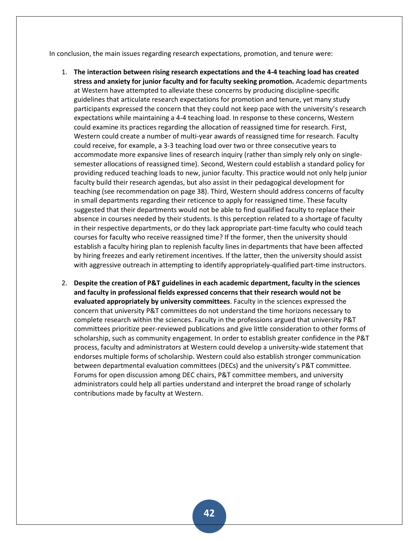In conclusion, the main issues regarding research expectations, promotion, and tenure were:

- 1. **The interaction between rising research expectations and the 4-4 teaching load has created stress and anxiety for junior faculty and for faculty seeking promotion.** Academic departments at Western have attempted to alleviate these concerns by producing discipline-specific guidelines that articulate research expectations for promotion and tenure, yet many study participants expressed the concern that they could not keep pace with the university's research expectations while maintaining a 4-4 teaching load. In response to these concerns, Western could examine its practices regarding the allocation of reassigned time for research. First, Western could create a number of multi-year awards of reassigned time for research. Faculty could receive, for example, a 3-3 teaching load over two or three consecutive years to accommodate more expansive lines of research inquiry (rather than simply rely only on singlesemester allocations of reassigned time). Second, Western could establish a standard policy for providing reduced teaching loads to new, junior faculty. This practice would not only help junior faculty build their research agendas, but also assist in their pedagogical development for teaching (see recommendation on page 38). Third, Western should address concerns of faculty in small departments regarding their reticence to apply for reassigned time. These faculty suggested that their departments would not be able to find qualified faculty to replace their absence in courses needed by their students. Is this perception related to a shortage of faculty in their respective departments, or do they lack appropriate part-time faculty who could teach courses for faculty who receive reassigned time? If the former, then the university should establish a faculty hiring plan to replenish faculty lines in departments that have been affected by hiring freezes and early retirement incentives. If the latter, then the university should assist with aggressive outreach in attempting to identify appropriately-qualified part-time instructors.
- 2. **Despite the creation of P&T guidelines in each academic department, faculty in the sciences and faculty in professional fields expressed concerns that their research would not be evaluated appropriately by university committees**. Faculty in the sciences expressed the concern that university P&T committees do not understand the time horizons necessary to complete research within the sciences. Faculty in the professions argued that university P&T committees prioritize peer-reviewed publications and give little consideration to other forms of scholarship, such as community engagement. In order to establish greater confidence in the P&T process, faculty and administrators at Western could develop a university-wide statement that endorses multiple forms of scholarship. Western could also establish stronger communication between departmental evaluation committees (DECs) and the university's P&T committee. Forums for open discussion among DEC chairs, P&T committee members, and university administrators could help all parties understand and interpret the broad range of scholarly contributions made by faculty at Western.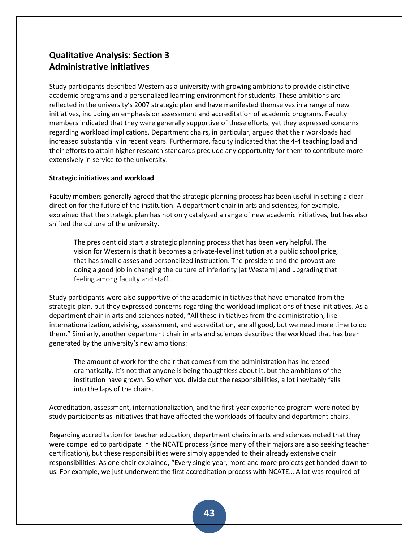## **Qualitative Analysis: Section 3 Administrative initiatives**

Study participants described Western as a university with growing ambitions to provide distinctive academic programs and a personalized learning environment for students. These ambitions are reflected in the university's 2007 strategic plan and have manifested themselves in a range of new initiatives, including an emphasis on assessment and accreditation of academic programs. Faculty members indicated that they were generally supportive of these efforts, yet they expressed concerns regarding workload implications. Department chairs, in particular, argued that their workloads had increased substantially in recent years. Furthermore, faculty indicated that the 4-4 teaching load and their efforts to attain higher research standards preclude any opportunity for them to contribute more extensively in service to the university.

### **Strategic initiatives and workload**

Faculty members generally agreed that the strategic planning process has been useful in setting a clear direction for the future of the institution. A department chair in arts and sciences, for example, explained that the strategic plan has not only catalyzed a range of new academic initiatives, but has also shifted the culture of the university.

The president did start a strategic planning process that has been very helpful. The vision for Western is that it becomes a private-level institution at a public school price, that has small classes and personalized instruction. The president and the provost are doing a good job in changing the culture of inferiority [at Western] and upgrading that feeling among faculty and staff.

Study participants were also supportive of the academic initiatives that have emanated from the strategic plan, but they expressed concerns regarding the workload implications of these initiatives. As a department chair in arts and sciences noted, "All these initiatives from the administration, like internationalization, advising, assessment, and accreditation, are all good, but we need more time to do them." Similarly, another department chair in arts and sciences described the workload that has been generated by the university's new ambitions:

The amount of work for the chair that comes from the administration has increased dramatically. It's not that anyone is being thoughtless about it, but the ambitions of the institution have grown. So when you divide out the responsibilities, a lot inevitably falls into the laps of the chairs.

Accreditation, assessment, internationalization, and the first-year experience program were noted by study participants as initiatives that have affected the workloads of faculty and department chairs.

Regarding accreditation for teacher education, department chairs in arts and sciences noted that they were compelled to participate in the NCATE process (since many of their majors are also seeking teacher certification), but these responsibilities were simply appended to their already extensive chair responsibilities. As one chair explained, "Every single year, more and more projects get handed down to us. For example, we just underwent the first accreditation process with NCATE… A lot was required of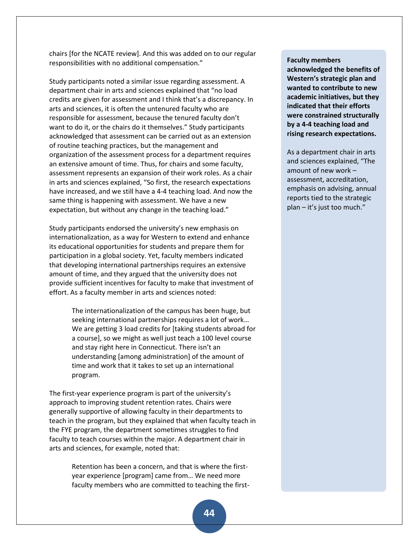chairs [for the NCATE review]. And this was added on to our regular responsibilities with no additional compensation."

Study participants noted a similar issue regarding assessment. A department chair in arts and sciences explained that "no load credits are given for assessment and I think that's a discrepancy. In arts and sciences, it is often the untenured faculty who are responsible for assessment, because the tenured faculty don't want to do it, or the chairs do it themselves." Study participants acknowledged that assessment can be carried out as an extension of routine teaching practices, but the management and organization of the assessment process for a department requires an extensive amount of time. Thus, for chairs and some faculty, assessment represents an expansion of their work roles. As a chair in arts and sciences explained, "So first, the research expectations have increased, and we still have a 4-4 teaching load. And now the same thing is happening with assessment. We have a new expectation, but without any change in the teaching load."

Study participants endorsed the university's new emphasis on internationalization, as a way for Western to extend and enhance its educational opportunities for students and prepare them for participation in a global society. Yet, faculty members indicated that developing international partnerships requires an extensive amount of time, and they argued that the university does not provide sufficient incentives for faculty to make that investment of effort. As a faculty member in arts and sciences noted:

> The internationalization of the campus has been huge, but seeking international partnerships requires a lot of work… We are getting 3 load credits for [taking students abroad for a course], so we might as well just teach a 100 level course and stay right here in Connecticut. There isn't an understanding [among administration] of the amount of time and work that it takes to set up an international program.

The first-year experience program is part of the university's approach to improving student retention rates. Chairs were generally supportive of allowing faculty in their departments to teach in the program, but they explained that when faculty teach in the FYE program, the department sometimes struggles to find faculty to teach courses within the major. A department chair in arts and sciences, for example, noted that:

> Retention has been a concern, and that is where the firstyear experience [program] came from... We need more faculty members who are committed to teaching the first-

#### **Faculty members**

**acknowledged the benefits of Western's strategic plan and wanted to contribute to new academic initiatives, but they indicated that their efforts were constrained structurally by a 4-4 teaching load and rising research expectations.**

As a department chair in arts and sciences explained, "The amount of new work – assessment, accreditation, emphasis on advising, annual reports tied to the strategic plan – it's just too much."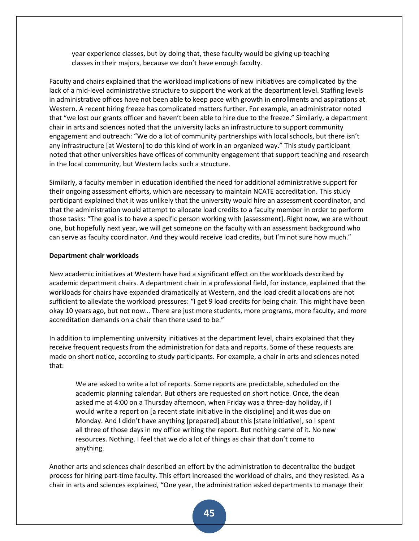year experience classes, but by doing that, these faculty would be giving up teaching classes in their majors, because we don't have enough faculty.

Faculty and chairs explained that the workload implications of new initiatives are complicated by the lack of a mid-level administrative structure to support the work at the department level. Staffing levels in administrative offices have not been able to keep pace with growth in enrollments and aspirations at Western. A recent hiring freeze has complicated matters further. For example, an administrator noted that "we lost our grants officer and haven't been able to hire due to the freeze." Similarly, a department chair in arts and sciences noted that the university lacks an infrastructure to support community engagement and outreach: "We do a lot of community partnerships with local schools, but there isn't any infrastructure [at Western] to do this kind of work in an organized way." This study participant noted that other universities have offices of community engagement that support teaching and research in the local community, but Western lacks such a structure.

Similarly, a faculty member in education identified the need for additional administrative support for their ongoing assessment efforts, which are necessary to maintain NCATE accreditation. This study participant explained that it was unlikely that the university would hire an assessment coordinator, and that the administration would attempt to allocate load credits to a faculty member in order to perform those tasks: "The goal is to have a specific person working with [assessment]. Right now, we are without one, but hopefully next year, we will get someone on the faculty with an assessment background who can serve as faculty coordinator. And they would receive load credits, but I'm not sure how much."

#### **Department chair workloads**

New academic initiatives at Western have had a significant effect on the workloads described by academic department chairs. A department chair in a professional field, for instance, explained that the workloads for chairs have expanded dramatically at Western, and the load credit allocations are not sufficient to alleviate the workload pressures: "I get 9 load credits for being chair. This might have been okay 10 years ago, but not now… There are just more students, more programs, more faculty, and more accreditation demands on a chair than there used to be."

In addition to implementing university initiatives at the department level, chairs explained that they receive frequent requests from the administration for data and reports. Some of these requests are made on short notice, according to study participants. For example, a chair in arts and sciences noted that:

We are asked to write a lot of reports. Some reports are predictable, scheduled on the academic planning calendar. But others are requested on short notice. Once, the dean asked me at 4:00 on a Thursday afternoon, when Friday was a three-day holiday, if I would write a report on [a recent state initiative in the discipline] and it was due on Monday. And I didn't have anything [prepared] about this [state initiative], so I spent all three of those days in my office writing the report. But nothing came of it. No new resources. Nothing. I feel that we do a lot of things as chair that don't come to anything.

Another arts and sciences chair described an effort by the administration to decentralize the budget process for hiring part-time faculty. This effort increased the workload of chairs, and they resisted. As a chair in arts and sciences explained, "One year, the administration asked departments to manage their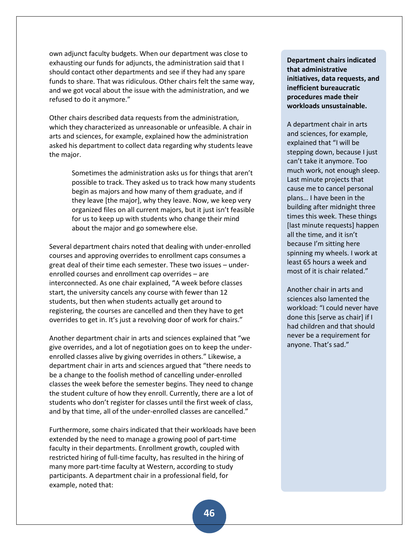own adjunct faculty budgets. When our department was close to exhausting our funds for adjuncts, the administration said that I should contact other departments and see if they had any spare funds to share. That was ridiculous. Other chairs felt the same way, and we got vocal about the issue with the administration, and we refused to do it anymore."

Other chairs described data requests from the administration, which they characterized as unreasonable or unfeasible. A chair in arts and sciences, for example, explained how the administration asked his department to collect data regarding why students leave the major.

> Sometimes the administration asks us for things that aren't possible to track. They asked us to track how many students begin as majors and how many of them graduate, and if they leave [the major], why they leave. Now, we keep very organized files on all current majors, but it just isn't feasible for us to keep up with students who change their mind about the major and go somewhere else.

Several department chairs noted that dealing with under-enrolled courses and approving overrides to enrollment caps consumes a great deal of their time each semester. These two issues – underenrolled courses and enrollment cap overrides – are interconnected. As one chair explained, "A week before classes start, the university cancels any course with fewer than 12 students, but then when students actually get around to registering, the courses are cancelled and then they have to get overrides to get in. It's just a revolving door of work for chairs."

Another department chair in arts and sciences explained that "we give overrides, and a lot of negotiation goes on to keep the underenrolled classes alive by giving overrides in others." Likewise, a department chair in arts and sciences argued that "there needs to be a change to the foolish method of cancelling under-enrolled classes the week before the semester begins. They need to change the student culture of how they enroll. Currently, there are a lot of students who don't register for classes until the first week of class, and by that time, all of the under-enrolled classes are cancelled."

Furthermore, some chairs indicated that their workloads have been extended by the need to manage a growing pool of part-time faculty in their departments. Enrollment growth, coupled with restricted hiring of full-time faculty, has resulted in the hiring of many more part-time faculty at Western, according to study participants. A department chair in a professional field, for example, noted that:

**Department chairs indicated that administrative initiatives, data requests, and inefficient bureaucratic procedures made their workloads unsustainable.**

A department chair in arts and sciences, for example, explained that "I will be stepping down, because I just can't take it anymore. Too much work, not enough sleep. Last minute projects that cause me to cancel personal plans… I have been in the building after midnight three times this week. These things [last minute requests] happen all the time, and it isn't because I'm sitting here spinning my wheels. I work at least 65 hours a week and most of it is chair related."

Another chair in arts and sciences also lamented the workload: "I could never have done this [serve as chair] if I had children and that should never be a requirement for anyone. That's sad."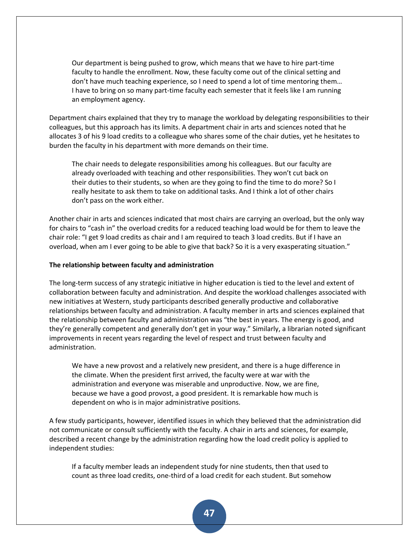Our department is being pushed to grow, which means that we have to hire part-time faculty to handle the enrollment. Now, these faculty come out of the clinical setting and don't have much teaching experience, so I need to spend a lot of time mentoring them… I have to bring on so many part-time faculty each semester that it feels like I am running an employment agency.

Department chairs explained that they try to manage the workload by delegating responsibilities to their colleagues, but this approach has its limits. A department chair in arts and sciences noted that he allocates 3 of his 9 load credits to a colleague who shares some of the chair duties, yet he hesitates to burden the faculty in his department with more demands on their time.

The chair needs to delegate responsibilities among his colleagues. But our faculty are already overloaded with teaching and other responsibilities. They won't cut back on their duties to their students, so when are they going to find the time to do more? So I really hesitate to ask them to take on additional tasks. And I think a lot of other chairs don't pass on the work either.

Another chair in arts and sciences indicated that most chairs are carrying an overload, but the only way for chairs to "cash in" the overload credits for a reduced teaching load would be for them to leave the chair role: "I get 9 load credits as chair and I am required to teach 3 load credits. But if I have an overload, when am I ever going to be able to give that back? So it is a very exasperating situation."

#### **The relationship between faculty and administration**

The long-term success of any strategic initiative in higher education is tied to the level and extent of collaboration between faculty and administration. And despite the workload challenges associated with new initiatives at Western, study participants described generally productive and collaborative relationships between faculty and administration. A faculty member in arts and sciences explained that the relationship between faculty and administration was "the best in years. The energy is good, and they're generally competent and generally don't get in your way." Similarly, a librarian noted significant improvements in recent years regarding the level of respect and trust between faculty and administration.

We have a new provost and a relatively new president, and there is a huge difference in the climate. When the president first arrived, the faculty were at war with the administration and everyone was miserable and unproductive. Now, we are fine, because we have a good provost, a good president. It is remarkable how much is dependent on who is in major administrative positions.

A few study participants, however, identified issues in which they believed that the administration did not communicate or consult sufficiently with the faculty. A chair in arts and sciences, for example, described a recent change by the administration regarding how the load credit policy is applied to independent studies:

If a faculty member leads an independent study for nine students, then that used to count as three load credits, one-third of a load credit for each student. But somehow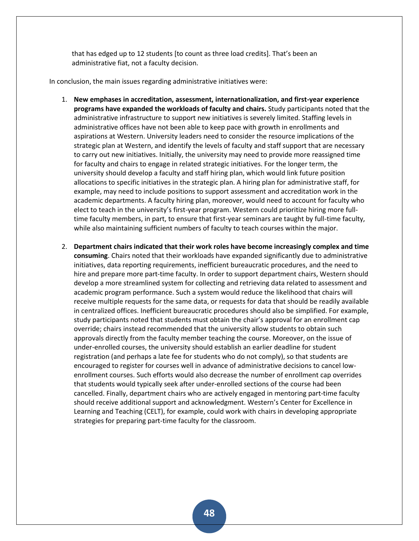that has edged up to 12 students (to count as three load credits). That's been an administrative fiat, not a faculty decision.

In conclusion, the main issues regarding administrative initiatives were:

- 1. **New emphases in accreditation, assessment, internationalization, and first-year experience programs have expanded the workloads of faculty and chairs.** Study participants noted that the administrative infrastructure to support new initiatives is severely limited. Staffing levels in administrative offices have not been able to keep pace with growth in enrollments and aspirations at Western. University leaders need to consider the resource implications of the strategic plan at Western, and identify the levels of faculty and staff support that are necessary to carry out new initiatives. Initially, the university may need to provide more reassigned time for faculty and chairs to engage in related strategic initiatives. For the longer term, the university should develop a faculty and staff hiring plan, which would link future position allocations to specific initiatives in the strategic plan. A hiring plan for administrative staff, for example, may need to include positions to support assessment and accreditation work in the academic departments. A faculty hiring plan, moreover, would need to account for faculty who elect to teach in the university's first-year program. Western could prioritize hiring more fulltime faculty members, in part, to ensure that first-year seminars are taught by full-time faculty, while also maintaining sufficient numbers of faculty to teach courses within the major.
- 2. **Department chairs indicated that their work roles have become increasingly complex and time consuming**. Chairs noted that their workloads have expanded significantly due to administrative initiatives, data reporting requirements, inefficient bureaucratic procedures, and the need to hire and prepare more part-time faculty. In order to support department chairs, Western should develop a more streamlined system for collecting and retrieving data related to assessment and academic program performance. Such a system would reduce the likelihood that chairs will receive multiple requests for the same data, or requests for data that should be readily available in centralized offices. Inefficient bureaucratic procedures should also be simplified. For example, study participants noted that students must obtain the chair's approval for an enrollment cap override; chairs instead recommended that the university allow students to obtain such approvals directly from the faculty member teaching the course. Moreover, on the issue of under-enrolled courses, the university should establish an earlier deadline for student registration (and perhaps a late fee for students who do not comply), so that students are encouraged to register for courses well in advance of administrative decisions to cancel lowenrollment courses. Such efforts would also decrease the number of enrollment cap overrides that students would typically seek after under-enrolled sections of the course had been cancelled. Finally, department chairs who are actively engaged in mentoring part-time faculty should receive additional support and acknowledgment. Western's Center for Excellence in Learning and Teaching (CELT), for example, could work with chairs in developing appropriate strategies for preparing part-time faculty for the classroom.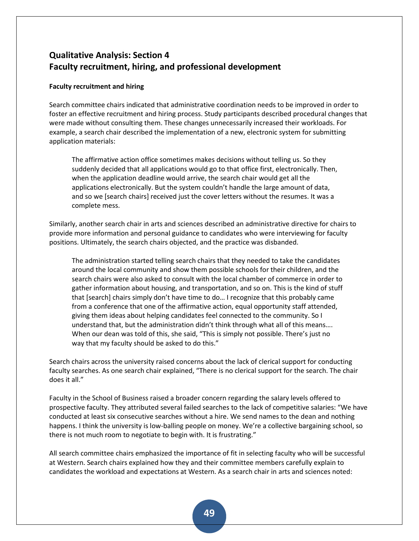# **Qualitative Analysis: Section 4 Faculty recruitment, hiring, and professional development**

## **Faculty recruitment and hiring**

Search committee chairs indicated that administrative coordination needs to be improved in order to foster an effective recruitment and hiring process. Study participants described procedural changes that were made without consulting them. These changes unnecessarily increased their workloads. For example, a search chair described the implementation of a new, electronic system for submitting application materials:

The affirmative action office sometimes makes decisions without telling us. So they suddenly decided that all applications would go to that office first, electronically. Then, when the application deadline would arrive, the search chair would get all the applications electronically. But the system couldn't handle the large amount of data, and so we [search chairs] received just the cover letters without the resumes. It was a complete mess.

Similarly, another search chair in arts and sciences described an administrative directive for chairs to provide more information and personal guidance to candidates who were interviewing for faculty positions. Ultimately, the search chairs objected, and the practice was disbanded.

The administration started telling search chairs that they needed to take the candidates around the local community and show them possible schools for their children, and the search chairs were also asked to consult with the local chamber of commerce in order to gather information about housing, and transportation, and so on. This is the kind of stuff that [search] chairs simply don't have time to do... I recognize that this probably came from a conference that one of the affirmative action, equal opportunity staff attended, giving them ideas about helping candidates feel connected to the community. So I understand that, but the administration didn't think through what all of this means…. When our dean was told of this, she said, "This is simply not possible. There's just no way that my faculty should be asked to do this."

Search chairs across the university raised concerns about the lack of clerical support for conducting faculty searches. As one search chair explained, "There is no clerical support for the search. The chair does it all."

Faculty in the School of Business raised a broader concern regarding the salary levels offered to prospective faculty. They attributed several failed searches to the lack of competitive salaries: "We have conducted at least six consecutive searches without a hire. We send names to the dean and nothing happens. I think the university is low-balling people on money. We're a collective bargaining school, so there is not much room to negotiate to begin with. It is frustrating."

All search committee chairs emphasized the importance of fit in selecting faculty who will be successful at Western. Search chairs explained how they and their committee members carefully explain to candidates the workload and expectations at Western. As a search chair in arts and sciences noted: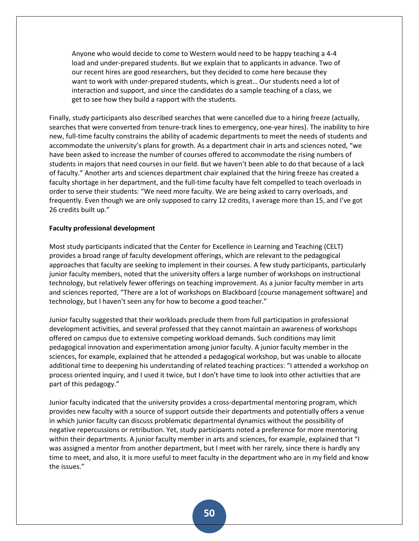Anyone who would decide to come to Western would need to be happy teaching a 4-4 load and under-prepared students. But we explain that to applicants in advance. Two of our recent hires are good researchers, but they decided to come here because they want to work with under-prepared students, which is great… Our students need a lot of interaction and support, and since the candidates do a sample teaching of a class, we get to see how they build a rapport with the students.

Finally, study participants also described searches that were cancelled due to a hiring freeze (actually, searches that were converted from tenure-track lines to emergency, one-year hires). The inability to hire new, full-time faculty constrains the ability of academic departments to meet the needs of students and accommodate the university's plans for growth. As a department chair in arts and sciences noted, "we have been asked to increase the number of courses offered to accommodate the rising numbers of students in majors that need courses in our field. But we haven't been able to do that because of a lack of faculty." Another arts and sciences department chair explained that the hiring freeze has created a faculty shortage in her department, and the full-time faculty have felt compelled to teach overloads in order to serve their students: "We need more faculty. We are being asked to carry overloads, and frequently. Even though we are only supposed to carry 12 credits, I average more than 15, and I've got 26 credits built up."

#### **Faculty professional development**

Most study participants indicated that the Center for Excellence in Learning and Teaching (CELT) provides a broad range of faculty development offerings, which are relevant to the pedagogical approaches that faculty are seeking to implement in their courses. A few study participants, particularly junior faculty members, noted that the university offers a large number of workshops on instructional technology, but relatively fewer offerings on teaching improvement. As a junior faculty member in arts and sciences reported, "There are a lot of workshops on Blackboard [course management software] and technology, but I haven't seen any for how to become a good teacher."

Junior faculty suggested that their workloads preclude them from full participation in professional development activities, and several professed that they cannot maintain an awareness of workshops offered on campus due to extensive competing workload demands. Such conditions may limit pedagogical innovation and experimentation among junior faculty. A junior faculty member in the sciences, for example, explained that he attended a pedagogical workshop, but was unable to allocate additional time to deepening his understanding of related teaching practices: "I attended a workshop on process oriented inquiry, and I used it twice, but I don't have time to look into other activities that are part of this pedagogy."

Junior faculty indicated that the university provides a cross-departmental mentoring program, which provides new faculty with a source of support outside their departments and potentially offers a venue in which junior faculty can discuss problematic departmental dynamics without the possibility of negative repercussions or retribution. Yet, study participants noted a preference for more mentoring within their departments. A junior faculty member in arts and sciences, for example, explained that "I was assigned a mentor from another department, but I meet with her rarely, since there is hardly any time to meet, and also, it is more useful to meet faculty in the department who are in my field and know the issues."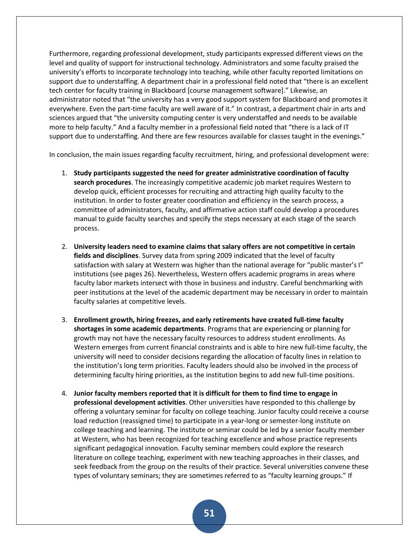Furthermore, regarding professional development, study participants expressed different views on the level and quality of support for instructional technology. Administrators and some faculty praised the university's efforts to incorporate technology into teaching, while other faculty reported limitations on support due to understaffing. A department chair in a professional field noted that "there is an excellent tech center for faculty training in Blackboard [course management software]." Likewise, an administrator noted that "the university has a very good support system for Blackboard and promotes it everywhere. Even the part-time faculty are well aware of it." In contrast, a department chair in arts and sciences argued that "the university computing center is very understaffed and needs to be available more to help faculty." And a faculty member in a professional field noted that "there is a lack of IT support due to understaffing. And there are few resources available for classes taught in the evenings."

In conclusion, the main issues regarding faculty recruitment, hiring, and professional development were:

- 1. **Study participants suggested the need for greater administrative coordination of faculty search procedures**. The increasingly competitive academic job market requires Western to develop quick, efficient processes for recruiting and attracting high quality faculty to the institution. In order to foster greater coordination and efficiency in the search process, a committee of administrators, faculty, and affirmative action staff could develop a procedures manual to guide faculty searches and specify the steps necessary at each stage of the search process.
- 2. **University leaders need to examine claims that salary offers are not competitive in certain fields and disciplines**. Survey data from spring 2009 indicated that the level of faculty satisfaction with salary at Western was higher than the national average for "public master's I" institutions (see pages 26). Nevertheless, Western offers academic programs in areas where faculty labor markets intersect with those in business and industry. Careful benchmarking with peer institutions at the level of the academic department may be necessary in order to maintain faculty salaries at competitive levels.
- 3. **Enrollment growth, hiring freezes, and early retirements have created full-time faculty shortages in some academic departments**. Programs that are experiencing or planning for growth may not have the necessary faculty resources to address student enrollments. As Western emerges from current financial constraints and is able to hire new full-time faculty, the university will need to consider decisions regarding the allocation of faculty lines in relation to the institution's long term priorities. Faculty leaders should also be involved in the process of determining faculty hiring priorities, as the institution begins to add new full-time positions.
- 4. **Junior faculty members reported that it is difficult for them to find time to engage in professional development activities**. Other universities have responded to this challenge by offering a voluntary seminar for faculty on college teaching. Junior faculty could receive a course load reduction (reassigned time) to participate in a year-long or semester-long institute on college teaching and learning. The institute or seminar could be led by a senior faculty member at Western, who has been recognized for teaching excellence and whose practice represents significant pedagogical innovation. Faculty seminar members could explore the research literature on college teaching, experiment with new teaching approaches in their classes, and seek feedback from the group on the results of their practice. Several universities convene these types of voluntary seminars; they are sometimes referred to as "faculty learning groups." If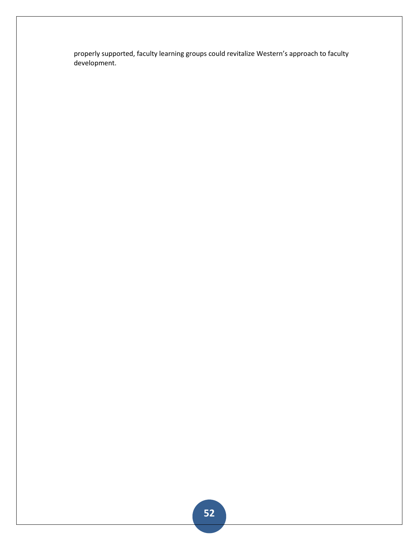properly supported, faculty learning groups could revitalize Western's approach to faculty development.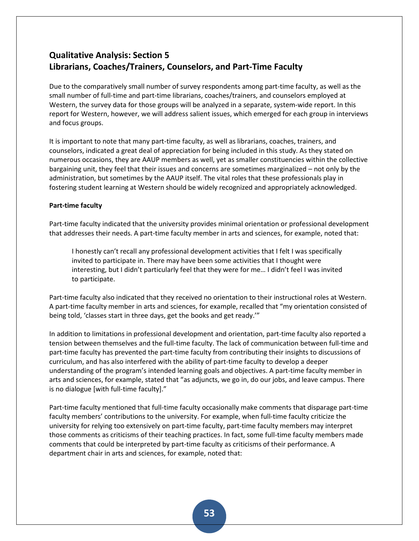## **Qualitative Analysis: Section 5 Librarians, Coaches/Trainers, Counselors, and Part-Time Faculty**

Due to the comparatively small number of survey respondents among part-time faculty, as well as the small number of full-time and part-time librarians, coaches/trainers, and counselors employed at Western, the survey data for those groups will be analyzed in a separate, system-wide report. In this report for Western, however, we will address salient issues, which emerged for each group in interviews and focus groups.

It is important to note that many part-time faculty, as well as librarians, coaches, trainers, and counselors, indicated a great deal of appreciation for being included in this study. As they stated on numerous occasions, they are AAUP members as well, yet as smaller constituencies within the collective bargaining unit, they feel that their issues and concerns are sometimes marginalized – not only by the administration, but sometimes by the AAUP itself. The vital roles that these professionals play in fostering student learning at Western should be widely recognized and appropriately acknowledged.

## **Part-time faculty**

Part-time faculty indicated that the university provides minimal orientation or professional development that addresses their needs. A part-time faculty member in arts and sciences, for example, noted that:

I honestly can't recall any professional development activities that I felt I was specifically invited to participate in. There may have been some activities that I thought were interesting, but I didn't particularly feel that they were for me… I didn't feel I was invited to participate.

Part-time faculty also indicated that they received no orientation to their instructional roles at Western. A part-time faculty member in arts and sciences, for example, recalled that "my orientation consisted of being told, 'classes start in three days, get the books and get ready.'"

In addition to limitations in professional development and orientation, part-time faculty also reported a tension between themselves and the full-time faculty. The lack of communication between full-time and part-time faculty has prevented the part-time faculty from contributing their insights to discussions of curriculum, and has also interfered with the ability of part-time faculty to develop a deeper understanding of the program's intended learning goals and objectives. A part-time faculty member in arts and sciences, for example, stated that "as adjuncts, we go in, do our jobs, and leave campus. There is no dialogue [with full-time faculty]."

Part-time faculty mentioned that full-time faculty occasionally make comments that disparage part-time faculty members' contributions to the university. For example, when full-time faculty criticize the university for relying too extensively on part-time faculty, part-time faculty members may interpret those comments as criticisms of their teaching practices. In fact, some full-time faculty members made comments that could be interpreted by part-time faculty as criticisms of their performance. A department chair in arts and sciences, for example, noted that: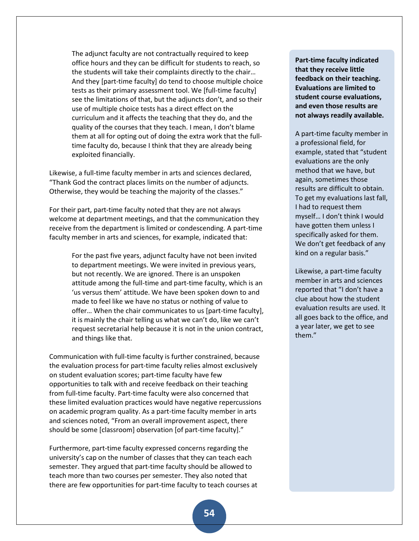The adjunct faculty are not contractually required to keep office hours and they can be difficult for students to reach, so the students will take their complaints directly to the chair… And they [part-time faculty] do tend to choose multiple choice tests as their primary assessment tool. We [full-time faculty] see the limitations of that, but the adjuncts don't, and so their use of multiple choice tests has a direct effect on the curriculum and it affects the teaching that they do, and the quality of the courses that they teach. I mean, I don't blame them at all for opting out of doing the extra work that the fulltime faculty do, because I think that they are already being exploited financially.

Likewise, a full-time faculty member in arts and sciences declared, "Thank God the contract places limits on the number of adjuncts. Otherwise, they would be teaching the majority of the classes."

For their part, part-time faculty noted that they are not always welcome at department meetings, and that the communication they receive from the department is limited or condescending. A part-time faculty member in arts and sciences, for example, indicated that:

> For the past five years, adjunct faculty have not been invited to department meetings. We were invited in previous years, but not recently. We are ignored. There is an unspoken attitude among the full-time and part-time faculty, which is an 'us versus them' attitude. We have been spoken down to and made to feel like we have no status or nothing of value to offer… When the chair communicates to us [part-time faculty], it is mainly the chair telling us what we can't do, like we can't request secretarial help because it is not in the union contract, and things like that.

Communication with full-time faculty is further constrained, because the evaluation process for part-time faculty relies almost exclusively on student evaluation scores; part-time faculty have few opportunities to talk with and receive feedback on their teaching from full-time faculty. Part-time faculty were also concerned that these limited evaluation practices would have negative repercussions on academic program quality. As a part-time faculty member in arts and sciences noted, "From an overall improvement aspect, there should be some [classroom] observation [of part-time faculty]."

Furthermore, part-time faculty expressed concerns regarding the university's cap on the number of classes that they can teach each semester. They argued that part-time faculty should be allowed to teach more than two courses per semester. They also noted that there are few opportunities for part-time faculty to teach courses at

**Part-time faculty indicated that they receive little feedback on their teaching. Evaluations are limited to student course evaluations, and even those results are not always readily available.**

A part-time faculty member in a professional field, for example, stated that "student evaluations are the only method that we have, but again, sometimes those results are difficult to obtain. To get my evaluations last fall, I had to request them myself… I don't think I would have gotten them unless I specifically asked for them. We don't get feedback of any kind on a regular basis."

Likewise, a part-time faculty member in arts and sciences reported that "I don't have a clue about how the student evaluation results are used. It all goes back to the office, and a year later, we get to see them."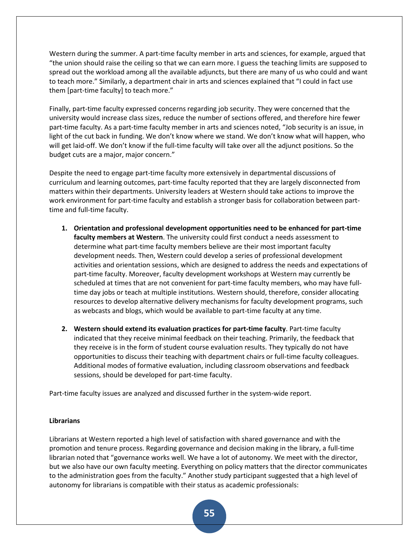Western during the summer. A part-time faculty member in arts and sciences, for example, argued that "the union should raise the ceiling so that we can earn more. I guess the teaching limits are supposed to spread out the workload among all the available adjuncts, but there are many of us who could and want to teach more." Similarly, a department chair in arts and sciences explained that "I could in fact use them [part-time faculty] to teach more."

Finally, part-time faculty expressed concerns regarding job security. They were concerned that the university would increase class sizes, reduce the number of sections offered, and therefore hire fewer part-time faculty. As a part-time faculty member in arts and sciences noted, "Job security is an issue, in light of the cut back in funding. We don't know where we stand. We don't know what will happen, who will get laid-off. We don't know if the full-time faculty will take over all the adjunct positions. So the budget cuts are a major, major concern."

Despite the need to engage part-time faculty more extensively in departmental discussions of curriculum and learning outcomes, part-time faculty reported that they are largely disconnected from matters within their departments. University leaders at Western should take actions to improve the work environment for part-time faculty and establish a stronger basis for collaboration between parttime and full-time faculty.

- **1. Orientation and professional development opportunities need to be enhanced for part-time faculty members at Western**. The university could first conduct a needs assessment to determine what part-time faculty members believe are their most important faculty development needs. Then, Western could develop a series of professional development activities and orientation sessions, which are designed to address the needs and expectations of part-time faculty. Moreover, faculty development workshops at Western may currently be scheduled at times that are not convenient for part-time faculty members, who may have fulltime day jobs or teach at multiple institutions. Western should, therefore, consider allocating resources to develop alternative delivery mechanisms for faculty development programs, such as webcasts and blogs, which would be available to part-time faculty at any time.
- **2. Western should extend its evaluation practices for part-time faculty**. Part-time faculty indicated that they receive minimal feedback on their teaching. Primarily, the feedback that they receive is in the form of student course evaluation results. They typically do not have opportunities to discuss their teaching with department chairs or full-time faculty colleagues. Additional modes of formative evaluation, including classroom observations and feedback sessions, should be developed for part-time faculty.

Part-time faculty issues are analyzed and discussed further in the system-wide report.

## **Librarians**

Librarians at Western reported a high level of satisfaction with shared governance and with the promotion and tenure process. Regarding governance and decision making in the library, a full-time librarian noted that "governance works well. We have a lot of autonomy. We meet with the director, but we also have our own faculty meeting. Everything on policy matters that the director communicates to the administration goes from the faculty." Another study participant suggested that a high level of autonomy for librarians is compatible with their status as academic professionals: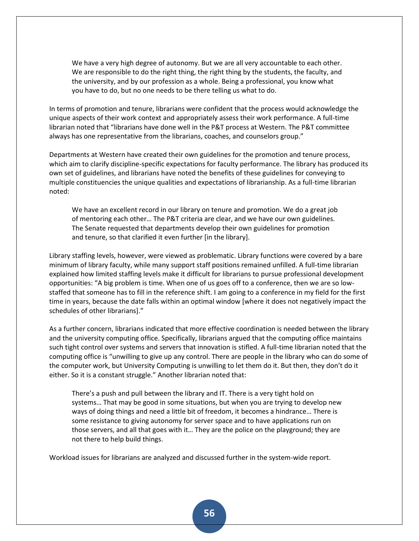We have a very high degree of autonomy. But we are all very accountable to each other. We are responsible to do the right thing, the right thing by the students, the faculty, and the university, and by our profession as a whole. Being a professional, you know what you have to do, but no one needs to be there telling us what to do.

In terms of promotion and tenure, librarians were confident that the process would acknowledge the unique aspects of their work context and appropriately assess their work performance. A full-time librarian noted that "librarians have done well in the P&T process at Western. The P&T committee always has one representative from the librarians, coaches, and counselors group."

Departments at Western have created their own guidelines for the promotion and tenure process, which aim to clarify discipline-specific expectations for faculty performance. The library has produced its own set of guidelines, and librarians have noted the benefits of these guidelines for conveying to multiple constituencies the unique qualities and expectations of librarianship. As a full-time librarian noted:

We have an excellent record in our library on tenure and promotion. We do a great job of mentoring each other… The P&T criteria are clear, and we have our own guidelines. The Senate requested that departments develop their own guidelines for promotion and tenure, so that clarified it even further [in the library].

Library staffing levels, however, were viewed as problematic. Library functions were covered by a bare minimum of library faculty, while many support staff positions remained unfilled. A full-time librarian explained how limited staffing levels make it difficult for librarians to pursue professional development opportunities: "A big problem is time. When one of us goes off to a conference, then we are so lowstaffed that someone has to fill in the reference shift. I am going to a conference in my field for the first time in years, because the date falls within an optimal window [where it does not negatively impact the schedules of other librarians]."

As a further concern, librarians indicated that more effective coordination is needed between the library and the university computing office. Specifically, librarians argued that the computing office maintains such tight control over systems and servers that innovation is stifled. A full-time librarian noted that the computing office is "unwilling to give up any control. There are people in the library who can do some of the computer work, but University Computing is unwilling to let them do it. But then, they don't do it either. So it is a constant struggle." Another librarian noted that:

There's a push and pull between the library and IT. There is a very tight hold on systems… That may be good in some situations, but when you are trying to develop new ways of doing things and need a little bit of freedom, it becomes a hindrance… There is some resistance to giving autonomy for server space and to have applications run on those servers, and all that goes with it… They are the police on the playground; they are not there to help build things.

Workload issues for librarians are analyzed and discussed further in the system-wide report.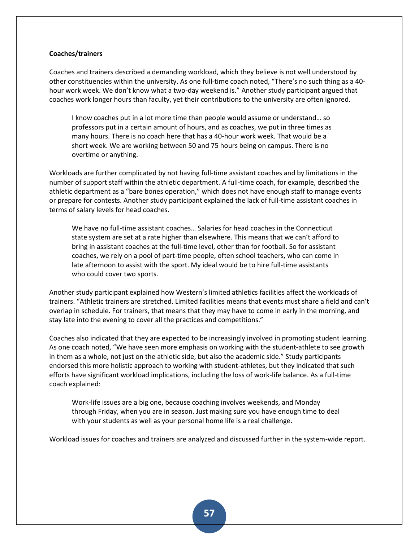#### **Coaches/trainers**

Coaches and trainers described a demanding workload, which they believe is not well understood by other constituencies within the university. As one full-time coach noted, "There's no such thing as a 40 hour work week. We don't know what a two-day weekend is." Another study participant argued that coaches work longer hours than faculty, yet their contributions to the university are often ignored.

I know coaches put in a lot more time than people would assume or understand… so professors put in a certain amount of hours, and as coaches, we put in three times as many hours. There is no coach here that has a 40-hour work week. That would be a short week. We are working between 50 and 75 hours being on campus. There is no overtime or anything.

Workloads are further complicated by not having full-time assistant coaches and by limitations in the number of support staff within the athletic department. A full-time coach, for example, described the athletic department as a "bare bones operation," which does not have enough staff to manage events or prepare for contests. Another study participant explained the lack of full-time assistant coaches in terms of salary levels for head coaches.

We have no full-time assistant coaches… Salaries for head coaches in the Connecticut state system are set at a rate higher than elsewhere. This means that we can't afford to bring in assistant coaches at the full-time level, other than for football. So for assistant coaches, we rely on a pool of part-time people, often school teachers, who can come in late afternoon to assist with the sport. My ideal would be to hire full-time assistants who could cover two sports.

Another study participant explained how Western's limited athletics facilities affect the workloads of trainers. "Athletic trainers are stretched. Limited facilities means that events must share a field and can't overlap in schedule. For trainers, that means that they may have to come in early in the morning, and stay late into the evening to cover all the practices and competitions."

Coaches also indicated that they are expected to be increasingly involved in promoting student learning. As one coach noted, "We have seen more emphasis on working with the student-athlete to see growth in them as a whole, not just on the athletic side, but also the academic side." Study participants endorsed this more holistic approach to working with student-athletes, but they indicated that such efforts have significant workload implications, including the loss of work-life balance. As a full-time coach explained:

Work-life issues are a big one, because coaching involves weekends, and Monday through Friday, when you are in season. Just making sure you have enough time to deal with your students as well as your personal home life is a real challenge.

Workload issues for coaches and trainers are analyzed and discussed further in the system-wide report.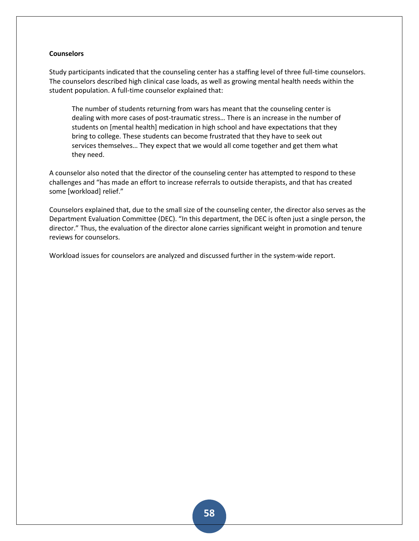### **Counselors**

Study participants indicated that the counseling center has a staffing level of three full-time counselors. The counselors described high clinical case loads, as well as growing mental health needs within the student population. A full-time counselor explained that:

The number of students returning from wars has meant that the counseling center is dealing with more cases of post-traumatic stress… There is an increase in the number of students on [mental health] medication in high school and have expectations that they bring to college. These students can become frustrated that they have to seek out services themselves… They expect that we would all come together and get them what they need.

A counselor also noted that the director of the counseling center has attempted to respond to these challenges and "has made an effort to increase referrals to outside therapists, and that has created some [workload] relief."

Counselors explained that, due to the small size of the counseling center, the director also serves as the Department Evaluation Committee (DEC). "In this department, the DEC is often just a single person, the director." Thus, the evaluation of the director alone carries significant weight in promotion and tenure reviews for counselors.

Workload issues for counselors are analyzed and discussed further in the system-wide report.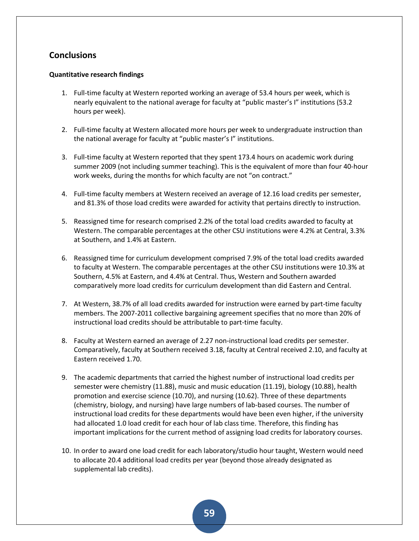## **Conclusions**

## **Quantitative research findings**

- 1. Full-time faculty at Western reported working an average of 53.4 hours per week, which is nearly equivalent to the national average for faculty at "public master's I" institutions (53.2 hours per week).
- 2. Full-time faculty at Western allocated more hours per week to undergraduate instruction than the national average for faculty at "public master's I" institutions.
- 3. Full-time faculty at Western reported that they spent 173.4 hours on academic work during summer 2009 (not including summer teaching). This is the equivalent of more than four 40-hour work weeks, during the months for which faculty are not "on contract."
- 4. Full-time faculty members at Western received an average of 12.16 load credits per semester, and 81.3% of those load credits were awarded for activity that pertains directly to instruction.
- 5. Reassigned time for research comprised 2.2% of the total load credits awarded to faculty at Western. The comparable percentages at the other CSU institutions were 4.2% at Central, 3.3% at Southern, and 1.4% at Eastern.
- 6. Reassigned time for curriculum development comprised 7.9% of the total load credits awarded to faculty at Western. The comparable percentages at the other CSU institutions were 10.3% at Southern, 4.5% at Eastern, and 4.4% at Central. Thus, Western and Southern awarded comparatively more load credits for curriculum development than did Eastern and Central.
- 7. At Western, 38.7% of all load credits awarded for instruction were earned by part-time faculty members. The 2007-2011 collective bargaining agreement specifies that no more than 20% of instructional load credits should be attributable to part-time faculty.
- 8. Faculty at Western earned an average of 2.27 non-instructional load credits per semester. Comparatively, faculty at Southern received 3.18, faculty at Central received 2.10, and faculty at Eastern received 1.70.
- 9. The academic departments that carried the highest number of instructional load credits per semester were chemistry (11.88), music and music education (11.19), biology (10.88), health promotion and exercise science (10.70), and nursing (10.62). Three of these departments (chemistry, biology, and nursing) have large numbers of lab-based courses. The number of instructional load credits for these departments would have been even higher, if the university had allocated 1.0 load credit for each hour of lab class time. Therefore, this finding has important implications for the current method of assigning load credits for laboratory courses.
- 10. In order to award one load credit for each laboratory/studio hour taught, Western would need to allocate 20.4 additional load credits per year (beyond those already designated as supplemental lab credits).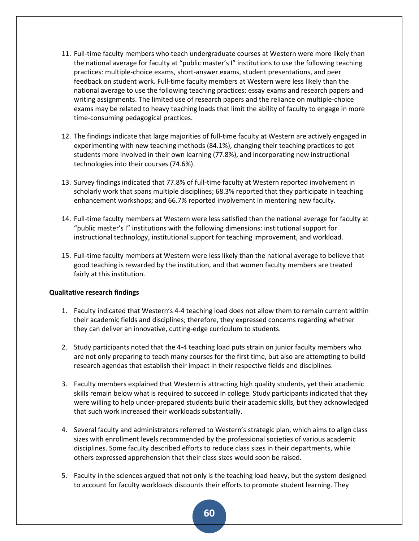- 11. Full-time faculty members who teach undergraduate courses at Western were more likely than the national average for faculty at "public master's I" institutions to use the following teaching practices: multiple-choice exams, short-answer exams, student presentations, and peer feedback on student work. Full-time faculty members at Western were less likely than the national average to use the following teaching practices: essay exams and research papers and writing assignments. The limited use of research papers and the reliance on multiple-choice exams may be related to heavy teaching loads that limit the ability of faculty to engage in more time-consuming pedagogical practices.
- 12. The findings indicate that large majorities of full-time faculty at Western are actively engaged in experimenting with new teaching methods (84.1%), changing their teaching practices to get students more involved in their own learning (77.8%), and incorporating new instructional technologies into their courses (74.6%).
- 13. Survey findings indicated that 77.8% of full-time faculty at Western reported involvement in scholarly work that spans multiple disciplines; 68.3% reported that they participate in teaching enhancement workshops; and 66.7% reported involvement in mentoring new faculty.
- 14. Full-time faculty members at Western were less satisfied than the national average for faculty at "public master's I" institutions with the following dimensions: institutional support for instructional technology, institutional support for teaching improvement, and workload.
- 15. Full-time faculty members at Western were less likely than the national average to believe that good teaching is rewarded by the institution, and that women faculty members are treated fairly at this institution.

### **Qualitative research findings**

- 1. Faculty indicated that Western's 4-4 teaching load does not allow them to remain current within their academic fields and disciplines; therefore, they expressed concerns regarding whether they can deliver an innovative, cutting-edge curriculum to students.
- 2. Study participants noted that the 4-4 teaching load puts strain on junior faculty members who are not only preparing to teach many courses for the first time, but also are attempting to build research agendas that establish their impact in their respective fields and disciplines.
- 3. Faculty members explained that Western is attracting high quality students, yet their academic skills remain below what is required to succeed in college. Study participants indicated that they were willing to help under-prepared students build their academic skills, but they acknowledged that such work increased their workloads substantially.
- 4. Several faculty and administrators referred to Western's strategic plan, which aims to align class sizes with enrollment levels recommended by the professional societies of various academic disciplines. Some faculty described efforts to reduce class sizes in their departments, while others expressed apprehension that their class sizes would soon be raised.
- 5. Faculty in the sciences argued that not only is the teaching load heavy, but the system designed to account for faculty workloads discounts their efforts to promote student learning. They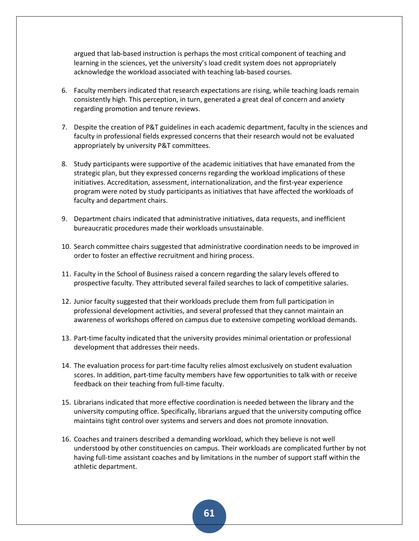argued that lab-based instruction is perhaps the most critical component of teaching and learning in the sciences, yet the university's load credit system does not appropriately acknowledge the workload associated with teaching lab-based courses.

- 6. Faculty members indicated that research expectations are rising, while teaching loads remain consistently high. This perception, in turn, generated a great deal of concern and anxiety regarding promotion and tenure reviews.
- 7. Despite the creation of P&T guidelines in each academic department, faculty in the sciences and faculty in professional fields expressed concerns that their research would not be evaluated appropriately by university P&T committees.
- 8. Study participants were supportive of the academic initiatives that have emanated from the strategic plan, but they expressed concerns regarding the workload implications of these initiatives. Accreditation, assessment, internationalization, and the first-year experience program were noted by study participants as initiatives that have affected the workloads of faculty and department chairs.
- 9. Department chairs indicated that administrative initiatives, data requests, and inefficient bureaucratic procedures made their workloads unsustainable.
- 10. Search committee chairs suggested that administrative coordination needs to be improved in order to foster an effective recruitment and hiring process.
- 11. Faculty in the School of Business raised a concern regarding the salary levels offered to prospective faculty. They attributed several failed searches to lack of competitive salaries.
- 12. Junior faculty suggested that their workloads preclude them from full participation in professional development activities, and several professed that they cannot maintain an awareness of workshops offered on campus due to extensive competing workload demands.
- 13. Part-time faculty indicated that the university provides minimal orientation or professional development that addresses their needs.
- 14. The evaluation process for part-time faculty relies almost exclusively on student evaluation scores. In addition, part-time faculty members have few opportunities to talk with or receive feedback on their teaching from full-time faculty.
- 15. Librarians indicated that more effective coordination is needed between the library and the university computing office. Specifically, librarians argued that the university computing office maintains tight control over systems and servers and does not promote innovation.
- 16. Coaches and trainers described a demanding workload, which they believe is not well understood by other constituencies on campus. Their workloads are complicated further by not having full-time assistant coaches and by limitations in the number of support staff within the athletic department.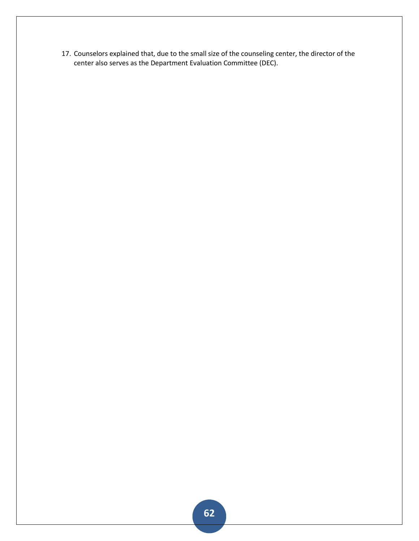17. Counselors explained that, due to the small size of the counseling center, the director of the center also serves as the Department Evaluation Committee (DEC).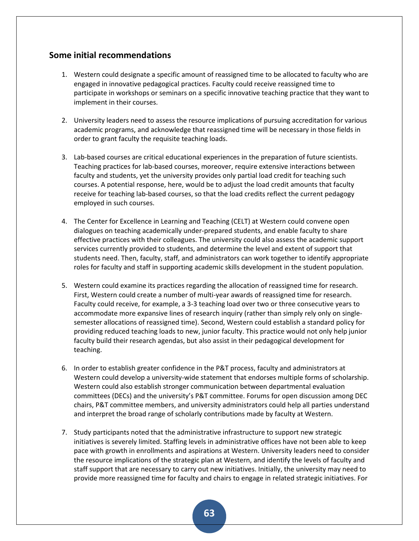## **Some initial recommendations**

- 1. Western could designate a specific amount of reassigned time to be allocated to faculty who are engaged in innovative pedagogical practices. Faculty could receive reassigned time to participate in workshops or seminars on a specific innovative teaching practice that they want to implement in their courses.
- 2. University leaders need to assess the resource implications of pursuing accreditation for various academic programs, and acknowledge that reassigned time will be necessary in those fields in order to grant faculty the requisite teaching loads.
- 3. Lab-based courses are critical educational experiences in the preparation of future scientists. Teaching practices for lab-based courses, moreover, require extensive interactions between faculty and students, yet the university provides only partial load credit for teaching such courses. A potential response, here, would be to adjust the load credit amounts that faculty receive for teaching lab-based courses, so that the load credits reflect the current pedagogy employed in such courses.
- 4. The Center for Excellence in Learning and Teaching (CELT) at Western could convene open dialogues on teaching academically under-prepared students, and enable faculty to share effective practices with their colleagues. The university could also assess the academic support services currently provided to students, and determine the level and extent of support that students need. Then, faculty, staff, and administrators can work together to identify appropriate roles for faculty and staff in supporting academic skills development in the student population.
- 5. Western could examine its practices regarding the allocation of reassigned time for research. First, Western could create a number of multi-year awards of reassigned time for research. Faculty could receive, for example, a 3-3 teaching load over two or three consecutive years to accommodate more expansive lines of research inquiry (rather than simply rely only on singlesemester allocations of reassigned time). Second, Western could establish a standard policy for providing reduced teaching loads to new, junior faculty. This practice would not only help junior faculty build their research agendas, but also assist in their pedagogical development for teaching.
- 6. In order to establish greater confidence in the P&T process, faculty and administrators at Western could develop a university-wide statement that endorses multiple forms of scholarship. Western could also establish stronger communication between departmental evaluation committees (DECs) and the university's P&T committee. Forums for open discussion among DEC chairs, P&T committee members, and university administrators could help all parties understand and interpret the broad range of scholarly contributions made by faculty at Western.
- 7. Study participants noted that the administrative infrastructure to support new strategic initiatives is severely limited. Staffing levels in administrative offices have not been able to keep pace with growth in enrollments and aspirations at Western. University leaders need to consider the resource implications of the strategic plan at Western, and identify the levels of faculty and staff support that are necessary to carry out new initiatives. Initially, the university may need to provide more reassigned time for faculty and chairs to engage in related strategic initiatives. For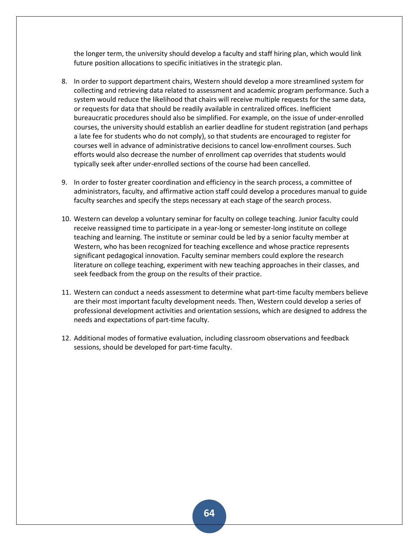the longer term, the university should develop a faculty and staff hiring plan, which would link future position allocations to specific initiatives in the strategic plan.

- 8. In order to support department chairs, Western should develop a more streamlined system for collecting and retrieving data related to assessment and academic program performance. Such a system would reduce the likelihood that chairs will receive multiple requests for the same data, or requests for data that should be readily available in centralized offices. Inefficient bureaucratic procedures should also be simplified. For example, on the issue of under-enrolled courses, the university should establish an earlier deadline for student registration (and perhaps a late fee for students who do not comply), so that students are encouraged to register for courses well in advance of administrative decisions to cancel low-enrollment courses. Such efforts would also decrease the number of enrollment cap overrides that students would typically seek after under-enrolled sections of the course had been cancelled.
- 9. In order to foster greater coordination and efficiency in the search process, a committee of administrators, faculty, and affirmative action staff could develop a procedures manual to guide faculty searches and specify the steps necessary at each stage of the search process.
- 10. Western can develop a voluntary seminar for faculty on college teaching. Junior faculty could receive reassigned time to participate in a year-long or semester-long institute on college teaching and learning. The institute or seminar could be led by a senior faculty member at Western, who has been recognized for teaching excellence and whose practice represents significant pedagogical innovation. Faculty seminar members could explore the research literature on college teaching, experiment with new teaching approaches in their classes, and seek feedback from the group on the results of their practice.
- 11. Western can conduct a needs assessment to determine what part-time faculty members believe are their most important faculty development needs. Then, Western could develop a series of professional development activities and orientation sessions, which are designed to address the needs and expectations of part-time faculty.
- 12. Additional modes of formative evaluation, including classroom observations and feedback sessions, should be developed for part-time faculty.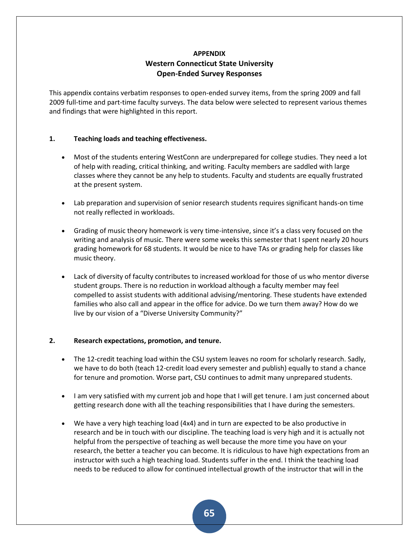## **APPENDIX Western Connecticut State University Open-Ended Survey Responses**

This appendix contains verbatim responses to open-ended survey items, from the spring 2009 and fall 2009 full-time and part-time faculty surveys. The data below were selected to represent various themes and findings that were highlighted in this report.

## **1. Teaching loads and teaching effectiveness.**

- Most of the students entering WestConn are underprepared for college studies. They need a lot of help with reading, critical thinking, and writing. Faculty members are saddled with large classes where they cannot be any help to students. Faculty and students are equally frustrated at the present system.
- Lab preparation and supervision of senior research students requires significant hands-on time not really reflected in workloads.
- Grading of music theory homework is very time-intensive, since it's a class very focused on the writing and analysis of music. There were some weeks this semester that I spent nearly 20 hours grading homework for 68 students. It would be nice to have TAs or grading help for classes like music theory.
- Lack of diversity of faculty contributes to increased workload for those of us who mentor diverse student groups. There is no reduction in workload although a faculty member may feel compelled to assist students with additional advising/mentoring. These students have extended families who also call and appear in the office for advice. Do we turn them away? How do we live by our vision of a "Diverse University Community?"

## **2. Research expectations, promotion, and tenure.**

- The 12-credit teaching load within the CSU system leaves no room for scholarly research. Sadly, we have to do both (teach 12-credit load every semester and publish) equally to stand a chance for tenure and promotion. Worse part, CSU continues to admit many unprepared students.
- I am very satisfied with my current job and hope that I will get tenure. I am just concerned about getting research done with all the teaching responsibilities that I have during the semesters.
- We have a very high teaching load (4x4) and in turn are expected to be also productive in research and be in touch with our discipline. The teaching load is very high and it is actually not helpful from the perspective of teaching as well because the more time you have on your research, the better a teacher you can become. It is ridiculous to have high expectations from an instructor with such a high teaching load. Students suffer in the end. I think the teaching load needs to be reduced to allow for continued intellectual growth of the instructor that will in the